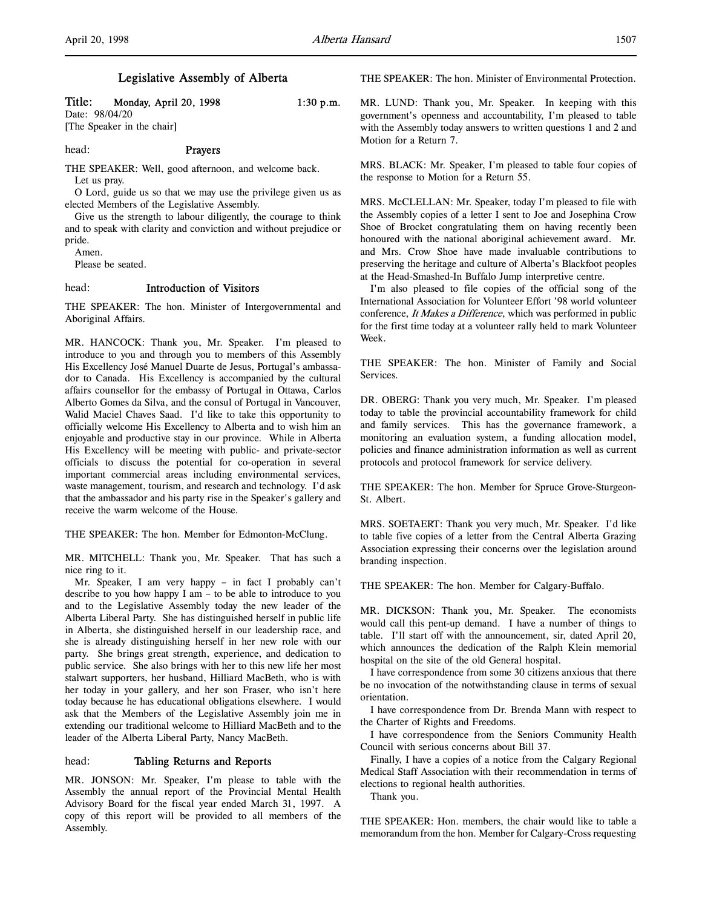# Legislative Assembly of Alberta

# Title: Monday, April 20, 1998 1:30 p.m.

Date: 98/04/20 [The Speaker in the chair]

# head: **Prayers**

THE SPEAKER: Well, good afternoon, and welcome back. Let us pray.

O Lord, guide us so that we may use the privilege given us as elected Members of the Legislative Assembly.

Give us the strength to labour diligently, the courage to think and to speak with clarity and conviction and without prejudice or pride.

Amen.

Please be seated.

# head: Introduction of Visitors

THE SPEAKER: The hon. Minister of Intergovernmental and Aboriginal Affairs.

MR. HANCOCK: Thank you, Mr. Speaker. I'm pleased to introduce to you and through you to members of this Assembly His Excellency José Manuel Duarte de Jesus, Portugal's ambassador to Canada. His Excellency is accompanied by the cultural affairs counsellor for the embassy of Portugal in Ottawa, Carlos Alberto Gomes da Silva, and the consul of Portugal in Vancouver, Walid Maciel Chaves Saad. I'd like to take this opportunity to officially welcome His Excellency to Alberta and to wish him an enjoyable and productive stay in our province. While in Alberta His Excellency will be meeting with public- and private-sector officials to discuss the potential for co-operation in several important commercial areas including environmental services, waste management, tourism, and research and technology. I'd ask that the ambassador and his party rise in the Speaker's gallery and receive the warm welcome of the House.

THE SPEAKER: The hon. Member for Edmonton-McClung.

MR. MITCHELL: Thank you, Mr. Speaker. That has such a nice ring to it.

Mr. Speaker, I am very happy – in fact I probably can't describe to you how happy I am – to be able to introduce to you and to the Legislative Assembly today the new leader of the Alberta Liberal Party. She has distinguished herself in public life in Alberta, she distinguished herself in our leadership race, and she is already distinguishing herself in her new role with our party. She brings great strength, experience, and dedication to public service. She also brings with her to this new life her most stalwart supporters, her husband, Hilliard MacBeth, who is with her today in your gallery, and her son Fraser, who isn't here today because he has educational obligations elsewhere. I would ask that the Members of the Legislative Assembly join me in extending our traditional welcome to Hilliard MacBeth and to the leader of the Alberta Liberal Party, Nancy MacBeth.

### head: Tabling Returns and Reports

MR. JONSON: Mr. Speaker, I'm please to table with the Assembly the annual report of the Provincial Mental Health Advisory Board for the fiscal year ended March 31, 1997. A copy of this report will be provided to all members of the Assembly.

THE SPEAKER: The hon. Minister of Environmental Protection.

MR. LUND: Thank you, Mr. Speaker. In keeping with this government's openness and accountability, I'm pleased to table with the Assembly today answers to written questions 1 and 2 and Motion for a Return 7.

MRS. BLACK: Mr. Speaker, I'm pleased to table four copies of the response to Motion for a Return 55.

MRS. McCLELLAN: Mr. Speaker, today I'm pleased to file with the Assembly copies of a letter I sent to Joe and Josephina Crow Shoe of Brocket congratulating them on having recently been honoured with the national aboriginal achievement award. Mr. and Mrs. Crow Shoe have made invaluable contributions to preserving the heritage and culture of Alberta's Blackfoot peoples at the Head-Smashed-In Buffalo Jump interpretive centre.

I'm also pleased to file copies of the official song of the International Association for Volunteer Effort '98 world volunteer conference, It Makes a Difference, which was performed in public for the first time today at a volunteer rally held to mark Volunteer Week.

THE SPEAKER: The hon. Minister of Family and Social Services.

DR. OBERG: Thank you very much, Mr. Speaker. I'm pleased today to table the provincial accountability framework for child and family services. This has the governance framework, a monitoring an evaluation system, a funding allocation model, policies and finance administration information as well as current protocols and protocol framework for service delivery.

THE SPEAKER: The hon. Member for Spruce Grove-Sturgeon-St. Albert.

MRS. SOETAERT: Thank you very much, Mr. Speaker. I'd like to table five copies of a letter from the Central Alberta Grazing Association expressing their concerns over the legislation around branding inspection.

THE SPEAKER: The hon. Member for Calgary-Buffalo.

MR. DICKSON: Thank you, Mr. Speaker. The economists would call this pent-up demand. I have a number of things to table. I'll start off with the announcement, sir, dated April 20, which announces the dedication of the Ralph Klein memorial hospital on the site of the old General hospital.

I have correspondence from some 30 citizens anxious that there be no invocation of the notwithstanding clause in terms of sexual orientation.

I have correspondence from Dr. Brenda Mann with respect to the Charter of Rights and Freedoms.

I have correspondence from the Seniors Community Health Council with serious concerns about Bill 37.

Finally, I have a copies of a notice from the Calgary Regional Medical Staff Association with their recommendation in terms of elections to regional health authorities.

Thank you.

THE SPEAKER: Hon. members, the chair would like to table a memorandum from the hon. Member for Calgary-Cross requesting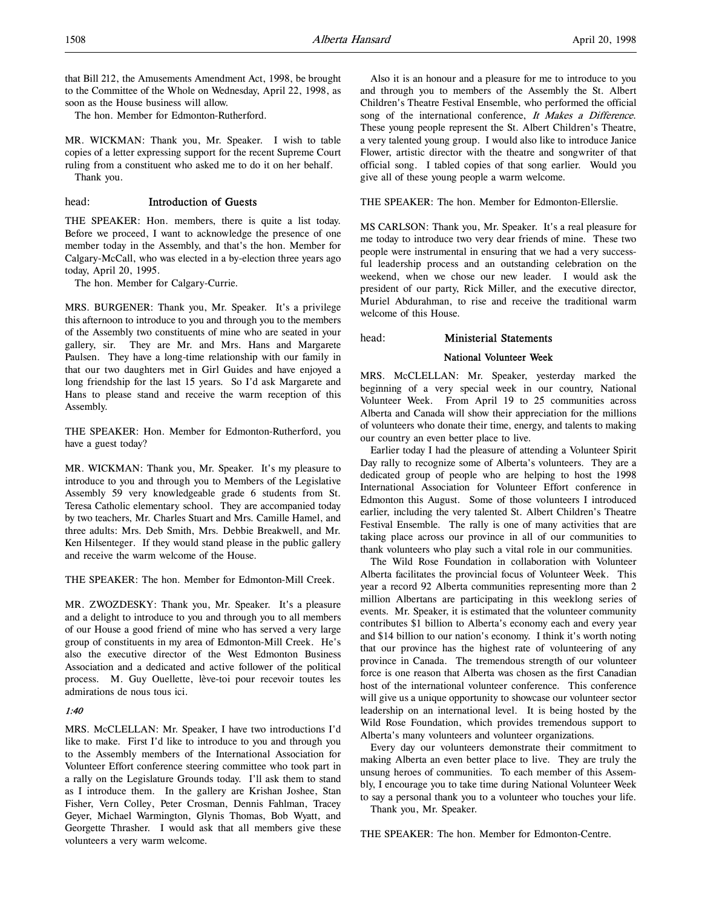that Bill 212, the Amusements Amendment Act, 1998, be brought to the Committee of the Whole on Wednesday, April 22, 1998, as soon as the House business will allow.

The hon. Member for Edmonton-Rutherford.

MR. WICKMAN: Thank you, Mr. Speaker. I wish to table copies of a letter expressing support for the recent Supreme Court ruling from a constituent who asked me to do it on her behalf. Thank you.

# head: Introduction of Guests

THE SPEAKER: Hon. members, there is quite a list today. Before we proceed, I want to acknowledge the presence of one member today in the Assembly, and that's the hon. Member for Calgary-McCall, who was elected in a by-election three years ago today, April 20, 1995.

The hon. Member for Calgary-Currie.

MRS. BURGENER: Thank you, Mr. Speaker. It's a privilege this afternoon to introduce to you and through you to the members of the Assembly two constituents of mine who are seated in your gallery, sir. They are Mr. and Mrs. Hans and Margarete Paulsen. They have a long-time relationship with our family in that our two daughters met in Girl Guides and have enjoyed a long friendship for the last 15 years. So I'd ask Margarete and Hans to please stand and receive the warm reception of this Assembly.

THE SPEAKER: Hon. Member for Edmonton-Rutherford, you have a guest today?

MR. WICKMAN: Thank you, Mr. Speaker. It's my pleasure to introduce to you and through you to Members of the Legislative Assembly 59 very knowledgeable grade 6 students from St. Teresa Catholic elementary school. They are accompanied today by two teachers, Mr. Charles Stuart and Mrs. Camille Hamel, and three adults: Mrs. Deb Smith, Mrs. Debbie Breakwell, and Mr. Ken Hilsenteger. If they would stand please in the public gallery and receive the warm welcome of the House.

THE SPEAKER: The hon. Member for Edmonton-Mill Creek.

MR. ZWOZDESKY: Thank you, Mr. Speaker. It's a pleasure and a delight to introduce to you and through you to all members of our House a good friend of mine who has served a very large group of constituents in my area of Edmonton-Mill Creek. He's also the executive director of the West Edmonton Business Association and a dedicated and active follower of the political process. M. Guy Ouellette, lève-toi pour recevoir toutes les admirations de nous tous ici.

# 1:40

MRS. McCLELLAN: Mr. Speaker, I have two introductions I'd like to make. First I'd like to introduce to you and through you to the Assembly members of the International Association for Volunteer Effort conference steering committee who took part in a rally on the Legislature Grounds today. I'll ask them to stand as I introduce them. In the gallery are Krishan Joshee, Stan Fisher, Vern Colley, Peter Crosman, Dennis Fahlman, Tracey Geyer, Michael Warmington, Glynis Thomas, Bob Wyatt, and Georgette Thrasher. I would ask that all members give these volunteers a very warm welcome.

Also it is an honour and a pleasure for me to introduce to you and through you to members of the Assembly the St. Albert Children's Theatre Festival Ensemble, who performed the official song of the international conference, It Makes a Difference. These young people represent the St. Albert Children's Theatre, a very talented young group. I would also like to introduce Janice Flower, artistic director with the theatre and songwriter of that official song. I tabled copies of that song earlier. Would you give all of these young people a warm welcome.

THE SPEAKER: The hon. Member for Edmonton-Ellerslie.

MS CARLSON: Thank you, Mr. Speaker. It's a real pleasure for me today to introduce two very dear friends of mine. These two people were instrumental in ensuring that we had a very successful leadership process and an outstanding celebration on the weekend, when we chose our new leader. I would ask the president of our party, Rick Miller, and the executive director, Muriel Abdurahman, to rise and receive the traditional warm welcome of this House.

head: Ministerial Statements

### National Volunteer Week

MRS. McCLELLAN: Mr. Speaker, yesterday marked the beginning of a very special week in our country, National Volunteer Week. From April 19 to 25 communities across Alberta and Canada will show their appreciation for the millions of volunteers who donate their time, energy, and talents to making our country an even better place to live.

Earlier today I had the pleasure of attending a Volunteer Spirit Day rally to recognize some of Alberta's volunteers. They are a dedicated group of people who are helping to host the 1998 International Association for Volunteer Effort conference in Edmonton this August. Some of those volunteers I introduced earlier, including the very talented St. Albert Children's Theatre Festival Ensemble. The rally is one of many activities that are taking place across our province in all of our communities to thank volunteers who play such a vital role in our communities.

The Wild Rose Foundation in collaboration with Volunteer Alberta facilitates the provincial focus of Volunteer Week. This year a record 92 Alberta communities representing more than 2 million Albertans are participating in this weeklong series of events. Mr. Speaker, it is estimated that the volunteer community contributes \$1 billion to Alberta's economy each and every year and \$14 billion to our nation's economy. I think it's worth noting that our province has the highest rate of volunteering of any province in Canada. The tremendous strength of our volunteer force is one reason that Alberta was chosen as the first Canadian host of the international volunteer conference. This conference will give us a unique opportunity to showcase our volunteer sector leadership on an international level. It is being hosted by the Wild Rose Foundation, which provides tremendous support to Alberta's many volunteers and volunteer organizations.

Every day our volunteers demonstrate their commitment to making Alberta an even better place to live. They are truly the unsung heroes of communities. To each member of this Assembly, I encourage you to take time during National Volunteer Week to say a personal thank you to a volunteer who touches your life.

Thank you, Mr. Speaker.

THE SPEAKER: The hon. Member for Edmonton-Centre.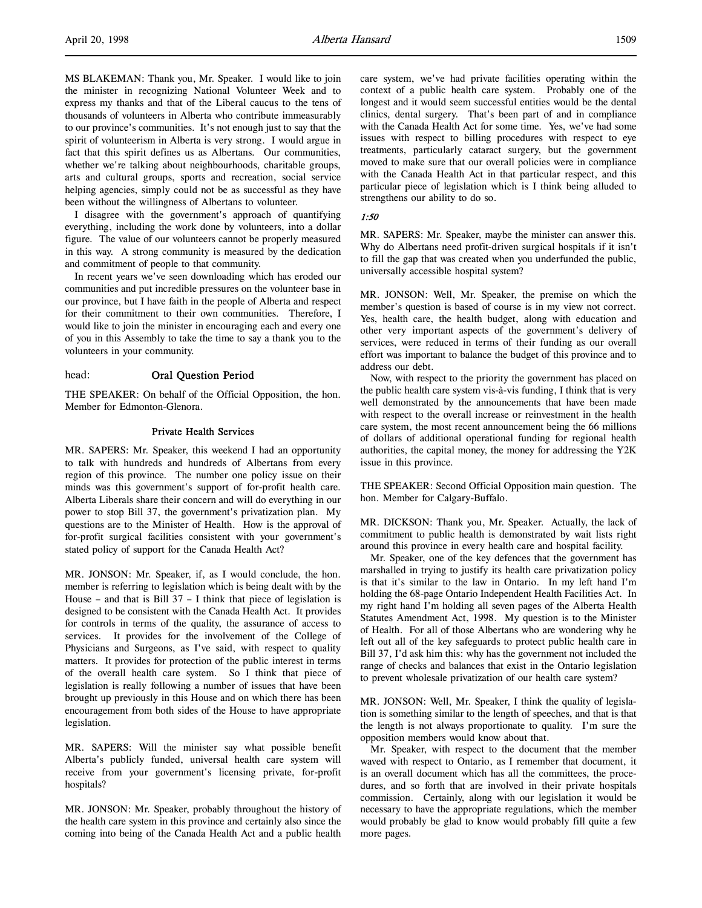MS BLAKEMAN: Thank you, Mr. Speaker. I would like to join the minister in recognizing National Volunteer Week and to express my thanks and that of the Liberal caucus to the tens of thousands of volunteers in Alberta who contribute immeasurably to our province's communities. It's not enough just to say that the spirit of volunteerism in Alberta is very strong. I would argue in fact that this spirit defines us as Albertans. Our communities, whether we're talking about neighbourhoods, charitable groups, arts and cultural groups, sports and recreation, social service helping agencies, simply could not be as successful as they have been without the willingness of Albertans to volunteer.

I disagree with the government's approach of quantifying everything, including the work done by volunteers, into a dollar figure. The value of our volunteers cannot be properly measured in this way. A strong community is measured by the dedication and commitment of people to that community.

In recent years we've seen downloading which has eroded our communities and put incredible pressures on the volunteer base in our province, but I have faith in the people of Alberta and respect for their commitment to their own communities. Therefore, I would like to join the minister in encouraging each and every one of you in this Assembly to take the time to say a thank you to the volunteers in your community.

# head: Oral Question Period

THE SPEAKER: On behalf of the Official Opposition, the hon. Member for Edmonton-Glenora.

#### Private Health Services

MR. SAPERS: Mr. Speaker, this weekend I had an opportunity to talk with hundreds and hundreds of Albertans from every region of this province. The number one policy issue on their minds was this government's support of for-profit health care. Alberta Liberals share their concern and will do everything in our power to stop Bill 37, the government's privatization plan. My questions are to the Minister of Health. How is the approval of for-profit surgical facilities consistent with your government's stated policy of support for the Canada Health Act?

MR. JONSON: Mr. Speaker, if, as I would conclude, the hon. member is referring to legislation which is being dealt with by the House – and that is Bill  $37 - I$  think that piece of legislation is designed to be consistent with the Canada Health Act. It provides for controls in terms of the quality, the assurance of access to services. It provides for the involvement of the College of Physicians and Surgeons, as I've said, with respect to quality matters. It provides for protection of the public interest in terms of the overall health care system. So I think that piece of legislation is really following a number of issues that have been brought up previously in this House and on which there has been encouragement from both sides of the House to have appropriate legislation.

MR. SAPERS: Will the minister say what possible benefit Alberta's publicly funded, universal health care system will receive from your government's licensing private, for-profit hospitals?

MR. JONSON: Mr. Speaker, probably throughout the history of the health care system in this province and certainly also since the coming into being of the Canada Health Act and a public health

care system, we've had private facilities operating within the context of a public health care system. Probably one of the longest and it would seem successful entities would be the dental clinics, dental surgery. That's been part of and in compliance with the Canada Health Act for some time. Yes, we've had some issues with respect to billing procedures with respect to eye treatments, particularly cataract surgery, but the government moved to make sure that our overall policies were in compliance with the Canada Health Act in that particular respect, and this particular piece of legislation which is I think being alluded to strengthens our ability to do so.

#### 1:50

MR. SAPERS: Mr. Speaker, maybe the minister can answer this. Why do Albertans need profit-driven surgical hospitals if it isn't to fill the gap that was created when you underfunded the public, universally accessible hospital system?

MR. JONSON: Well, Mr. Speaker, the premise on which the member's question is based of course is in my view not correct. Yes, health care, the health budget, along with education and other very important aspects of the government's delivery of services, were reduced in terms of their funding as our overall effort was important to balance the budget of this province and to address our debt.

Now, with respect to the priority the government has placed on the public health care system vis-à-vis funding, I think that is very well demonstrated by the announcements that have been made with respect to the overall increase or reinvestment in the health care system, the most recent announcement being the 66 millions of dollars of additional operational funding for regional health authorities, the capital money, the money for addressing the Y2K issue in this province.

THE SPEAKER: Second Official Opposition main question. The hon. Member for Calgary-Buffalo.

MR. DICKSON: Thank you, Mr. Speaker. Actually, the lack of commitment to public health is demonstrated by wait lists right around this province in every health care and hospital facility.

Mr. Speaker, one of the key defences that the government has marshalled in trying to justify its health care privatization policy is that it's similar to the law in Ontario. In my left hand I'm holding the 68-page Ontario Independent Health Facilities Act. In my right hand I'm holding all seven pages of the Alberta Health Statutes Amendment Act, 1998. My question is to the Minister of Health. For all of those Albertans who are wondering why he left out all of the key safeguards to protect public health care in Bill 37, I'd ask him this: why has the government not included the range of checks and balances that exist in the Ontario legislation to prevent wholesale privatization of our health care system?

MR. JONSON: Well, Mr. Speaker, I think the quality of legislation is something similar to the length of speeches, and that is that the length is not always proportionate to quality. I'm sure the opposition members would know about that.

Mr. Speaker, with respect to the document that the member waved with respect to Ontario, as I remember that document, it is an overall document which has all the committees, the procedures, and so forth that are involved in their private hospitals commission. Certainly, along with our legislation it would be necessary to have the appropriate regulations, which the member would probably be glad to know would probably fill quite a few more pages.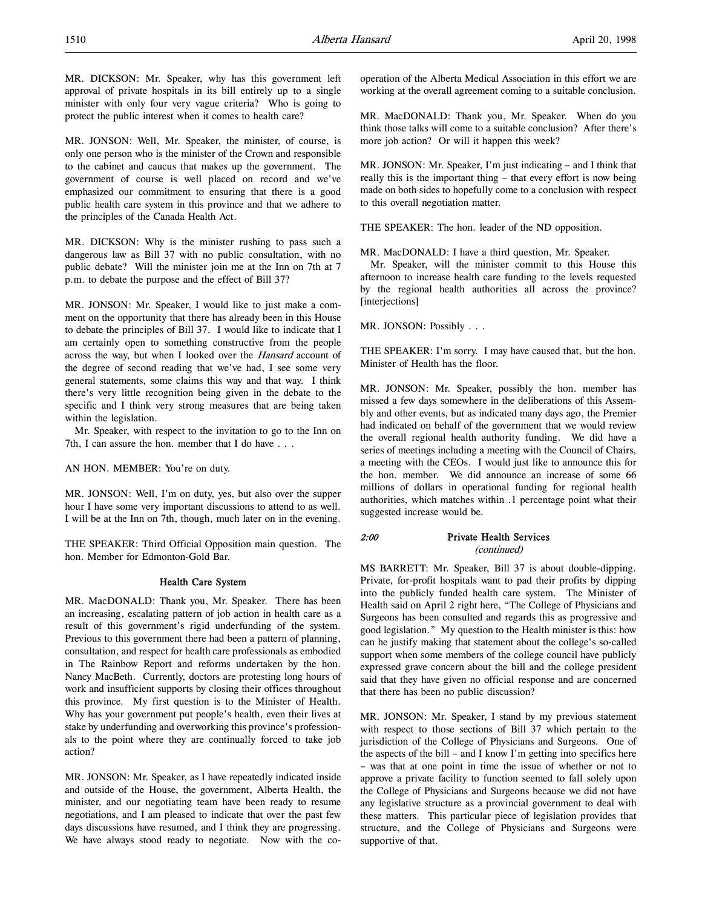MR. JONSON: Well, Mr. Speaker, the minister, of course, is only one person who is the minister of the Crown and responsible to the cabinet and caucus that makes up the government. The government of course is well placed on record and we've emphasized our commitment to ensuring that there is a good public health care system in this province and that we adhere to the principles of the Canada Health Act.

MR. DICKSON: Why is the minister rushing to pass such a dangerous law as Bill 37 with no public consultation, with no public debate? Will the minister join me at the Inn on 7th at 7 p.m. to debate the purpose and the effect of Bill 37?

MR. JONSON: Mr. Speaker, I would like to just make a comment on the opportunity that there has already been in this House to debate the principles of Bill 37. I would like to indicate that I am certainly open to something constructive from the people across the way, but when I looked over the Hansard account of the degree of second reading that we've had, I see some very general statements, some claims this way and that way. I think there's very little recognition being given in the debate to the specific and I think very strong measures that are being taken within the legislation.

Mr. Speaker, with respect to the invitation to go to the Inn on 7th, I can assure the hon. member that I do have . . .

AN HON. MEMBER: You're on duty.

MR. JONSON: Well, I'm on duty, yes, but also over the supper hour I have some very important discussions to attend to as well. I will be at the Inn on 7th, though, much later on in the evening.

THE SPEAKER: Third Official Opposition main question. The hon. Member for Edmonton-Gold Bar.

# Health Care System

MR. MacDONALD: Thank you, Mr. Speaker. There has been an increasing, escalating pattern of job action in health care as a result of this government's rigid underfunding of the system. Previous to this government there had been a pattern of planning, consultation, and respect for health care professionals as embodied in The Rainbow Report and reforms undertaken by the hon. Nancy MacBeth. Currently, doctors are protesting long hours of work and insufficient supports by closing their offices throughout this province. My first question is to the Minister of Health. Why has your government put people's health, even their lives at stake by underfunding and overworking this province's professionals to the point where they are continually forced to take job action?

MR. JONSON: Mr. Speaker, as I have repeatedly indicated inside and outside of the House, the government, Alberta Health, the minister, and our negotiating team have been ready to resume negotiations, and I am pleased to indicate that over the past few days discussions have resumed, and I think they are progressing. We have always stood ready to negotiate. Now with the cooperation of the Alberta Medical Association in this effort we are working at the overall agreement coming to a suitable conclusion.

MR. MacDONALD: Thank you, Mr. Speaker. When do you think those talks will come to a suitable conclusion? After there's more job action? Or will it happen this week?

MR. JONSON: Mr. Speaker, I'm just indicating – and I think that really this is the important thing – that every effort is now being made on both sides to hopefully come to a conclusion with respect to this overall negotiation matter.

THE SPEAKER: The hon. leader of the ND opposition.

MR. MacDONALD: I have a third question, Mr. Speaker.

Mr. Speaker, will the minister commit to this House this afternoon to increase health care funding to the levels requested by the regional health authorities all across the province? [interjections]

MR. JONSON: Possibly . . .

THE SPEAKER: I'm sorry. I may have caused that, but the hon. Minister of Health has the floor.

MR. JONSON: Mr. Speaker, possibly the hon. member has missed a few days somewhere in the deliberations of this Assembly and other events, but as indicated many days ago, the Premier had indicated on behalf of the government that we would review the overall regional health authority funding. We did have a series of meetings including a meeting with the Council of Chairs, a meeting with the CEOs. I would just like to announce this for the hon. member. We did announce an increase of some 66 millions of dollars in operational funding for regional health authorities, which matches within .1 percentage point what their suggested increase would be.

# 2:00 Private Health Services (continued)

MS BARRETT: Mr. Speaker, Bill 37 is about double-dipping. Private, for-profit hospitals want to pad their profits by dipping into the publicly funded health care system. The Minister of Health said on April 2 right here, "The College of Physicians and Surgeons has been consulted and regards this as progressive and good legislation." My question to the Health minister is this: how can he justify making that statement about the college's so-called support when some members of the college council have publicly expressed grave concern about the bill and the college president said that they have given no official response and are concerned that there has been no public discussion?

MR. JONSON: Mr. Speaker, I stand by my previous statement with respect to those sections of Bill 37 which pertain to the jurisdiction of the College of Physicians and Surgeons. One of the aspects of the bill – and I know I'm getting into specifics here – was that at one point in time the issue of whether or not to approve a private facility to function seemed to fall solely upon the College of Physicians and Surgeons because we did not have any legislative structure as a provincial government to deal with these matters. This particular piece of legislation provides that structure, and the College of Physicians and Surgeons were supportive of that.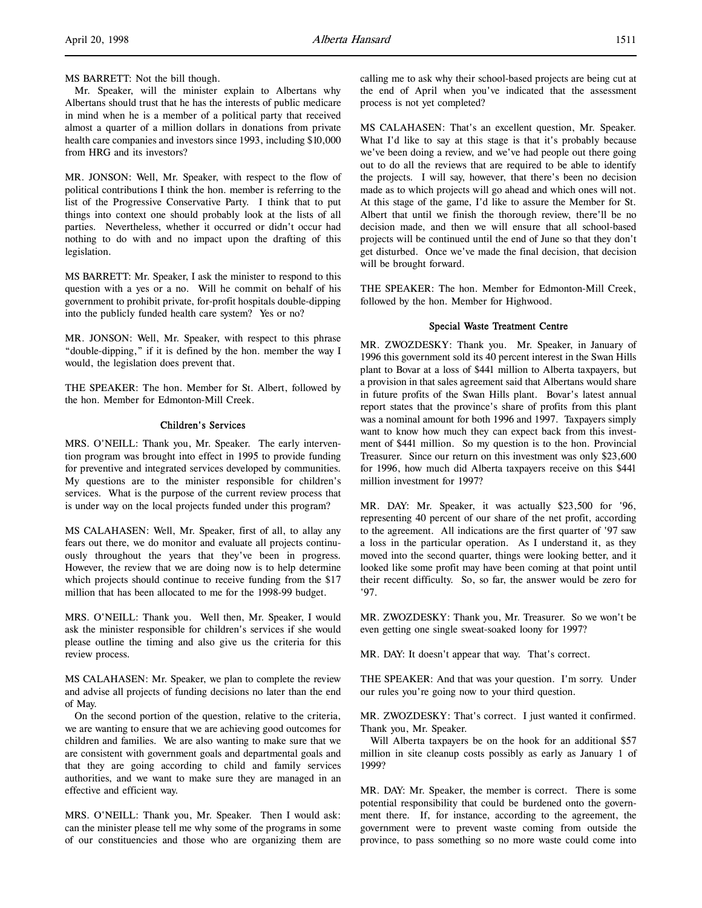### MS BARRETT: Not the bill though.

Mr. Speaker, will the minister explain to Albertans why Albertans should trust that he has the interests of public medicare in mind when he is a member of a political party that received almost a quarter of a million dollars in donations from private health care companies and investors since 1993, including \$10,000 from HRG and its investors?

MR. JONSON: Well, Mr. Speaker, with respect to the flow of political contributions I think the hon. member is referring to the list of the Progressive Conservative Party. I think that to put things into context one should probably look at the lists of all parties. Nevertheless, whether it occurred or didn't occur had nothing to do with and no impact upon the drafting of this legislation.

MS BARRETT: Mr. Speaker, I ask the minister to respond to this question with a yes or a no. Will he commit on behalf of his government to prohibit private, for-profit hospitals double-dipping into the publicly funded health care system? Yes or no?

MR. JONSON: Well, Mr. Speaker, with respect to this phrase "double-dipping," if it is defined by the hon. member the way I would, the legislation does prevent that.

THE SPEAKER: The hon. Member for St. Albert, followed by the hon. Member for Edmonton-Mill Creek.

# Children's Services

MRS. O'NEILL: Thank you, Mr. Speaker. The early intervention program was brought into effect in 1995 to provide funding for preventive and integrated services developed by communities. My questions are to the minister responsible for children's services. What is the purpose of the current review process that is under way on the local projects funded under this program?

MS CALAHASEN: Well, Mr. Speaker, first of all, to allay any fears out there, we do monitor and evaluate all projects continuously throughout the years that they've been in progress. However, the review that we are doing now is to help determine which projects should continue to receive funding from the \$17 million that has been allocated to me for the 1998-99 budget.

MRS. O'NEILL: Thank you. Well then, Mr. Speaker, I would ask the minister responsible for children's services if she would please outline the timing and also give us the criteria for this review process.

MS CALAHASEN: Mr. Speaker, we plan to complete the review and advise all projects of funding decisions no later than the end of May.

On the second portion of the question, relative to the criteria, we are wanting to ensure that we are achieving good outcomes for children and families. We are also wanting to make sure that we are consistent with government goals and departmental goals and that they are going according to child and family services authorities, and we want to make sure they are managed in an effective and efficient way.

MRS. O'NEILL: Thank you, Mr. Speaker. Then I would ask: can the minister please tell me why some of the programs in some of our constituencies and those who are organizing them are calling me to ask why their school-based projects are being cut at the end of April when you've indicated that the assessment process is not yet completed?

MS CALAHASEN: That's an excellent question, Mr. Speaker. What I'd like to say at this stage is that it's probably because we've been doing a review, and we've had people out there going out to do all the reviews that are required to be able to identify the projects. I will say, however, that there's been no decision made as to which projects will go ahead and which ones will not. At this stage of the game, I'd like to assure the Member for St. Albert that until we finish the thorough review, there'll be no decision made, and then we will ensure that all school-based projects will be continued until the end of June so that they don't get disturbed. Once we've made the final decision, that decision will be brought forward.

THE SPEAKER: The hon. Member for Edmonton-Mill Creek, followed by the hon. Member for Highwood.

### Special Waste Treatment Centre

MR. ZWOZDESKY: Thank you. Mr. Speaker, in January of 1996 this government sold its 40 percent interest in the Swan Hills plant to Bovar at a loss of \$441 million to Alberta taxpayers, but a provision in that sales agreement said that Albertans would share in future profits of the Swan Hills plant. Bovar's latest annual report states that the province's share of profits from this plant was a nominal amount for both 1996 and 1997. Taxpayers simply want to know how much they can expect back from this investment of \$441 million. So my question is to the hon. Provincial Treasurer. Since our return on this investment was only \$23,600 for 1996, how much did Alberta taxpayers receive on this \$441 million investment for 1997?

MR. DAY: Mr. Speaker, it was actually \$23,500 for '96, representing 40 percent of our share of the net profit, according to the agreement. All indications are the first quarter of '97 saw a loss in the particular operation. As I understand it, as they moved into the second quarter, things were looking better, and it looked like some profit may have been coming at that point until their recent difficulty. So, so far, the answer would be zero for '97.

MR. ZWOZDESKY: Thank you, Mr. Treasurer. So we won't be even getting one single sweat-soaked loony for 1997?

MR. DAY: It doesn't appear that way. That's correct.

THE SPEAKER: And that was your question. I'm sorry. Under our rules you're going now to your third question.

MR. ZWOZDESKY: That's correct. I just wanted it confirmed. Thank you, Mr. Speaker.

Will Alberta taxpayers be on the hook for an additional \$57 million in site cleanup costs possibly as early as January 1 of 1999?

MR. DAY: Mr. Speaker, the member is correct. There is some potential responsibility that could be burdened onto the government there. If, for instance, according to the agreement, the government were to prevent waste coming from outside the province, to pass something so no more waste could come into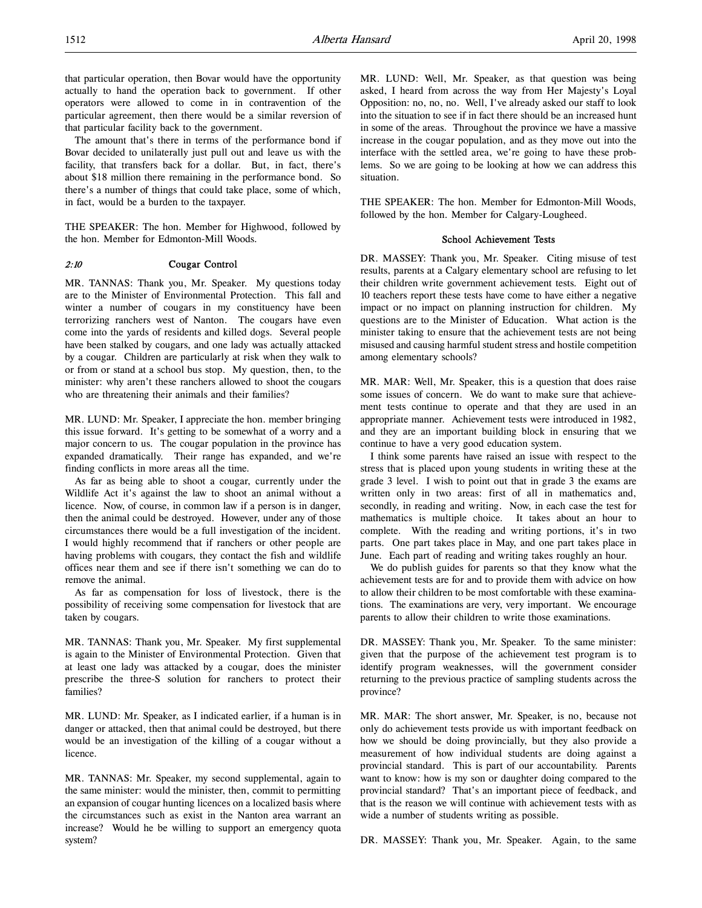that particular operation, then Bovar would have the opportunity actually to hand the operation back to government. If other operators were allowed to come in in contravention of the particular agreement, then there would be a similar reversion of that particular facility back to the government.

The amount that's there in terms of the performance bond if Bovar decided to unilaterally just pull out and leave us with the facility, that transfers back for a dollar. But, in fact, there's about \$18 million there remaining in the performance bond. So there's a number of things that could take place, some of which, in fact, would be a burden to the taxpayer.

THE SPEAKER: The hon. Member for Highwood, followed by the hon. Member for Edmonton-Mill Woods.

# 2:10 Cougar Control

MR. TANNAS: Thank you, Mr. Speaker. My questions today are to the Minister of Environmental Protection. This fall and winter a number of cougars in my constituency have been terrorizing ranchers west of Nanton. The cougars have even come into the yards of residents and killed dogs. Several people have been stalked by cougars, and one lady was actually attacked by a cougar. Children are particularly at risk when they walk to or from or stand at a school bus stop. My question, then, to the minister: why aren't these ranchers allowed to shoot the cougars who are threatening their animals and their families?

MR. LUND: Mr. Speaker, I appreciate the hon. member bringing this issue forward. It's getting to be somewhat of a worry and a major concern to us. The cougar population in the province has expanded dramatically. Their range has expanded, and we're finding conflicts in more areas all the time.

As far as being able to shoot a cougar, currently under the Wildlife Act it's against the law to shoot an animal without a licence. Now, of course, in common law if a person is in danger, then the animal could be destroyed. However, under any of those circumstances there would be a full investigation of the incident. I would highly recommend that if ranchers or other people are having problems with cougars, they contact the fish and wildlife offices near them and see if there isn't something we can do to remove the animal.

As far as compensation for loss of livestock, there is the possibility of receiving some compensation for livestock that are taken by cougars.

MR. TANNAS: Thank you, Mr. Speaker. My first supplemental is again to the Minister of Environmental Protection. Given that at least one lady was attacked by a cougar, does the minister prescribe the three-S solution for ranchers to protect their families?

MR. LUND: Mr. Speaker, as I indicated earlier, if a human is in danger or attacked, then that animal could be destroyed, but there would be an investigation of the killing of a cougar without a licence.

MR. TANNAS: Mr. Speaker, my second supplemental, again to the same minister: would the minister, then, commit to permitting an expansion of cougar hunting licences on a localized basis where the circumstances such as exist in the Nanton area warrant an increase? Would he be willing to support an emergency quota system?

MR. LUND: Well, Mr. Speaker, as that question was being asked, I heard from across the way from Her Majesty's Loyal Opposition: no, no, no. Well, I've already asked our staff to look into the situation to see if in fact there should be an increased hunt in some of the areas. Throughout the province we have a massive increase in the cougar population, and as they move out into the interface with the settled area, we're going to have these problems. So we are going to be looking at how we can address this situation.

THE SPEAKER: The hon. Member for Edmonton-Mill Woods, followed by the hon. Member for Calgary-Lougheed.

# School Achievement Tests

DR. MASSEY: Thank you, Mr. Speaker. Citing misuse of test results, parents at a Calgary elementary school are refusing to let their children write government achievement tests. Eight out of 10 teachers report these tests have come to have either a negative impact or no impact on planning instruction for children. My questions are to the Minister of Education. What action is the minister taking to ensure that the achievement tests are not being misused and causing harmful student stress and hostile competition among elementary schools?

MR. MAR: Well, Mr. Speaker, this is a question that does raise some issues of concern. We do want to make sure that achievement tests continue to operate and that they are used in an appropriate manner. Achievement tests were introduced in 1982, and they are an important building block in ensuring that we continue to have a very good education system.

I think some parents have raised an issue with respect to the stress that is placed upon young students in writing these at the grade 3 level. I wish to point out that in grade 3 the exams are written only in two areas: first of all in mathematics and, secondly, in reading and writing. Now, in each case the test for mathematics is multiple choice. It takes about an hour to complete. With the reading and writing portions, it's in two parts. One part takes place in May, and one part takes place in June. Each part of reading and writing takes roughly an hour.

We do publish guides for parents so that they know what the achievement tests are for and to provide them with advice on how to allow their children to be most comfortable with these examinations. The examinations are very, very important. We encourage parents to allow their children to write those examinations.

DR. MASSEY: Thank you, Mr. Speaker. To the same minister: given that the purpose of the achievement test program is to identify program weaknesses, will the government consider returning to the previous practice of sampling students across the province?

MR. MAR: The short answer, Mr. Speaker, is no, because not only do achievement tests provide us with important feedback on how we should be doing provincially, but they also provide a measurement of how individual students are doing against a provincial standard. This is part of our accountability. Parents want to know: how is my son or daughter doing compared to the provincial standard? That's an important piece of feedback, and that is the reason we will continue with achievement tests with as wide a number of students writing as possible.

DR. MASSEY: Thank you, Mr. Speaker. Again, to the same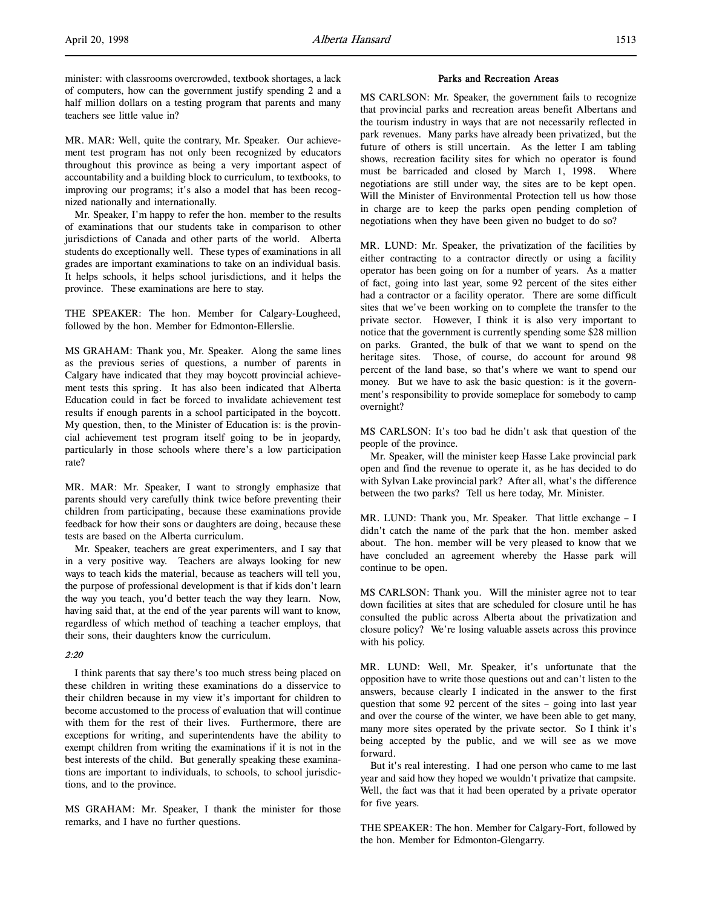minister: with classrooms overcrowded, textbook shortages, a lack of computers, how can the government justify spending 2 and a half million dollars on a testing program that parents and many teachers see little value in?

MR. MAR: Well, quite the contrary, Mr. Speaker. Our achievement test program has not only been recognized by educators throughout this province as being a very important aspect of accountability and a building block to curriculum, to textbooks, to improving our programs; it's also a model that has been recognized nationally and internationally.

Mr. Speaker, I'm happy to refer the hon. member to the results of examinations that our students take in comparison to other jurisdictions of Canada and other parts of the world. Alberta students do exceptionally well. These types of examinations in all grades are important examinations to take on an individual basis. It helps schools, it helps school jurisdictions, and it helps the province. These examinations are here to stay.

THE SPEAKER: The hon. Member for Calgary-Lougheed, followed by the hon. Member for Edmonton-Ellerslie.

MS GRAHAM: Thank you, Mr. Speaker. Along the same lines as the previous series of questions, a number of parents in Calgary have indicated that they may boycott provincial achievement tests this spring. It has also been indicated that Alberta Education could in fact be forced to invalidate achievement test results if enough parents in a school participated in the boycott. My question, then, to the Minister of Education is: is the provincial achievement test program itself going to be in jeopardy, particularly in those schools where there's a low participation rate?

MR. MAR: Mr. Speaker, I want to strongly emphasize that parents should very carefully think twice before preventing their children from participating, because these examinations provide feedback for how their sons or daughters are doing, because these tests are based on the Alberta curriculum.

Mr. Speaker, teachers are great experimenters, and I say that in a very positive way. Teachers are always looking for new ways to teach kids the material, because as teachers will tell you, the purpose of professional development is that if kids don't learn the way you teach, you'd better teach the way they learn. Now, having said that, at the end of the year parents will want to know, regardless of which method of teaching a teacher employs, that their sons, their daughters know the curriculum.

# 2:20

I think parents that say there's too much stress being placed on these children in writing these examinations do a disservice to their children because in my view it's important for children to become accustomed to the process of evaluation that will continue with them for the rest of their lives. Furthermore, there are exceptions for writing, and superintendents have the ability to exempt children from writing the examinations if it is not in the best interests of the child. But generally speaking these examinations are important to individuals, to schools, to school jurisdictions, and to the province.

MS GRAHAM: Mr. Speaker, I thank the minister for those remarks, and I have no further questions.

### Parks and Recreation Areas

MS CARLSON: Mr. Speaker, the government fails to recognize that provincial parks and recreation areas benefit Albertans and the tourism industry in ways that are not necessarily reflected in park revenues. Many parks have already been privatized, but the future of others is still uncertain. As the letter I am tabling shows, recreation facility sites for which no operator is found must be barricaded and closed by March 1, 1998. Where negotiations are still under way, the sites are to be kept open. Will the Minister of Environmental Protection tell us how those in charge are to keep the parks open pending completion of negotiations when they have been given no budget to do so?

MR. LUND: Mr. Speaker, the privatization of the facilities by either contracting to a contractor directly or using a facility operator has been going on for a number of years. As a matter of fact, going into last year, some 92 percent of the sites either had a contractor or a facility operator. There are some difficult sites that we've been working on to complete the transfer to the private sector. However, I think it is also very important to notice that the government is currently spending some \$28 million on parks. Granted, the bulk of that we want to spend on the heritage sites. Those, of course, do account for around 98 percent of the land base, so that's where we want to spend our money. But we have to ask the basic question: is it the government's responsibility to provide someplace for somebody to camp overnight?

MS CARLSON: It's too bad he didn't ask that question of the people of the province.

Mr. Speaker, will the minister keep Hasse Lake provincial park open and find the revenue to operate it, as he has decided to do with Sylvan Lake provincial park? After all, what's the difference between the two parks? Tell us here today, Mr. Minister.

MR. LUND: Thank you, Mr. Speaker. That little exchange – I didn't catch the name of the park that the hon. member asked about. The hon. member will be very pleased to know that we have concluded an agreement whereby the Hasse park will continue to be open.

MS CARLSON: Thank you. Will the minister agree not to tear down facilities at sites that are scheduled for closure until he has consulted the public across Alberta about the privatization and closure policy? We're losing valuable assets across this province with his policy.

MR. LUND: Well, Mr. Speaker, it's unfortunate that the opposition have to write those questions out and can't listen to the answers, because clearly I indicated in the answer to the first question that some 92 percent of the sites – going into last year and over the course of the winter, we have been able to get many, many more sites operated by the private sector. So I think it's being accepted by the public, and we will see as we move forward.

But it's real interesting. I had one person who came to me last year and said how they hoped we wouldn't privatize that campsite. Well, the fact was that it had been operated by a private operator for five years.

THE SPEAKER: The hon. Member for Calgary-Fort, followed by the hon. Member for Edmonton-Glengarry.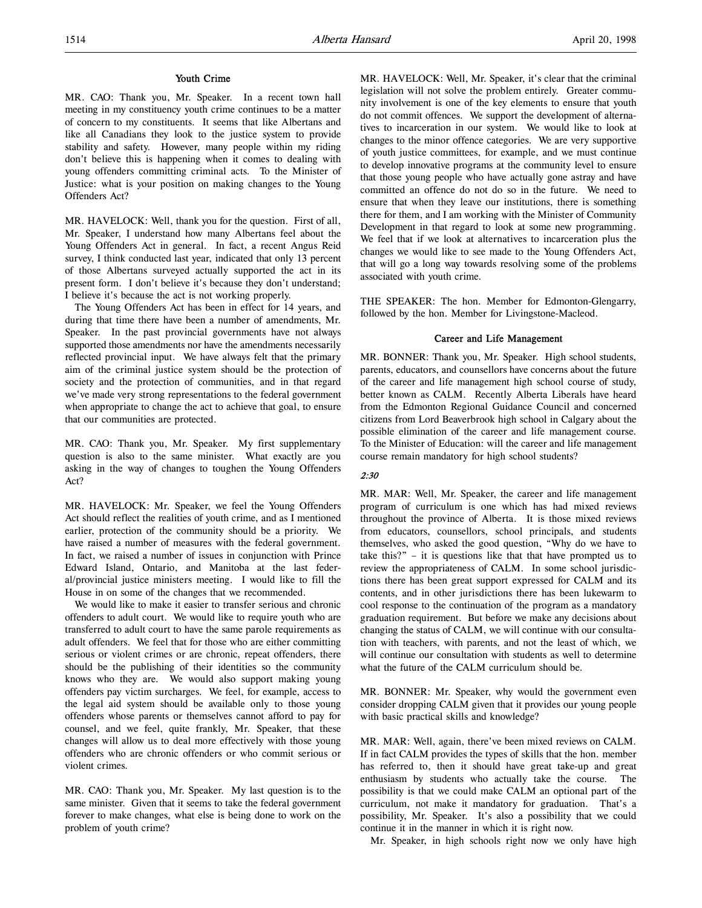### Youth Crime

MR. CAO: Thank you, Mr. Speaker. In a recent town hall meeting in my constituency youth crime continues to be a matter of concern to my constituents. It seems that like Albertans and like all Canadians they look to the justice system to provide stability and safety. However, many people within my riding don't believe this is happening when it comes to dealing with young offenders committing criminal acts. To the Minister of Justice: what is your position on making changes to the Young Offenders Act?

MR. HAVELOCK: Well, thank you for the question. First of all, Mr. Speaker, I understand how many Albertans feel about the Young Offenders Act in general. In fact, a recent Angus Reid survey, I think conducted last year, indicated that only 13 percent of those Albertans surveyed actually supported the act in its present form. I don't believe it's because they don't understand; I believe it's because the act is not working properly.

The Young Offenders Act has been in effect for 14 years, and during that time there have been a number of amendments, Mr. Speaker. In the past provincial governments have not always supported those amendments nor have the amendments necessarily reflected provincial input. We have always felt that the primary aim of the criminal justice system should be the protection of society and the protection of communities, and in that regard we've made very strong representations to the federal government when appropriate to change the act to achieve that goal, to ensure that our communities are protected.

MR. CAO: Thank you, Mr. Speaker. My first supplementary question is also to the same minister. What exactly are you asking in the way of changes to toughen the Young Offenders Act?

MR. HAVELOCK: Mr. Speaker, we feel the Young Offenders Act should reflect the realities of youth crime, and as I mentioned earlier, protection of the community should be a priority. We have raised a number of measures with the federal government. In fact, we raised a number of issues in conjunction with Prince Edward Island, Ontario, and Manitoba at the last federal/provincial justice ministers meeting. I would like to fill the House in on some of the changes that we recommended.

We would like to make it easier to transfer serious and chronic offenders to adult court. We would like to require youth who are transferred to adult court to have the same parole requirements as adult offenders. We feel that for those who are either committing serious or violent crimes or are chronic, repeat offenders, there should be the publishing of their identities so the community knows who they are. We would also support making young offenders pay victim surcharges. We feel, for example, access to the legal aid system should be available only to those young offenders whose parents or themselves cannot afford to pay for counsel, and we feel, quite frankly, Mr. Speaker, that these changes will allow us to deal more effectively with those young offenders who are chronic offenders or who commit serious or violent crimes.

MR. CAO: Thank you, Mr. Speaker. My last question is to the same minister. Given that it seems to take the federal government forever to make changes, what else is being done to work on the problem of youth crime?

MR. HAVELOCK: Well, Mr. Speaker, it's clear that the criminal legislation will not solve the problem entirely. Greater community involvement is one of the key elements to ensure that youth do not commit offences. We support the development of alternatives to incarceration in our system. We would like to look at changes to the minor offence categories. We are very supportive of youth justice committees, for example, and we must continue to develop innovative programs at the community level to ensure that those young people who have actually gone astray and have committed an offence do not do so in the future. We need to ensure that when they leave our institutions, there is something there for them, and I am working with the Minister of Community Development in that regard to look at some new programming. We feel that if we look at alternatives to incarceration plus the changes we would like to see made to the Young Offenders Act, that will go a long way towards resolving some of the problems associated with youth crime.

THE SPEAKER: The hon. Member for Edmonton-Glengarry, followed by the hon. Member for Livingstone-Macleod.

# Career and Life Management

MR. BONNER: Thank you, Mr. Speaker. High school students, parents, educators, and counsellors have concerns about the future of the career and life management high school course of study, better known as CALM. Recently Alberta Liberals have heard from the Edmonton Regional Guidance Council and concerned citizens from Lord Beaverbrook high school in Calgary about the possible elimination of the career and life management course. To the Minister of Education: will the career and life management course remain mandatory for high school students?

#### 2:30

MR. MAR: Well, Mr. Speaker, the career and life management program of curriculum is one which has had mixed reviews throughout the province of Alberta. It is those mixed reviews from educators, counsellors, school principals, and students themselves, who asked the good question, "Why do we have to take this?" – it is questions like that that have prompted us to review the appropriateness of CALM. In some school jurisdictions there has been great support expressed for CALM and its contents, and in other jurisdictions there has been lukewarm to cool response to the continuation of the program as a mandatory graduation requirement. But before we make any decisions about changing the status of CALM, we will continue with our consultation with teachers, with parents, and not the least of which, we will continue our consultation with students as well to determine what the future of the CALM curriculum should be.

MR. BONNER: Mr. Speaker, why would the government even consider dropping CALM given that it provides our young people with basic practical skills and knowledge?

MR. MAR: Well, again, there've been mixed reviews on CALM. If in fact CALM provides the types of skills that the hon. member has referred to, then it should have great take-up and great enthusiasm by students who actually take the course. The possibility is that we could make CALM an optional part of the curriculum, not make it mandatory for graduation. That's a possibility, Mr. Speaker. It's also a possibility that we could continue it in the manner in which it is right now.

Mr. Speaker, in high schools right now we only have high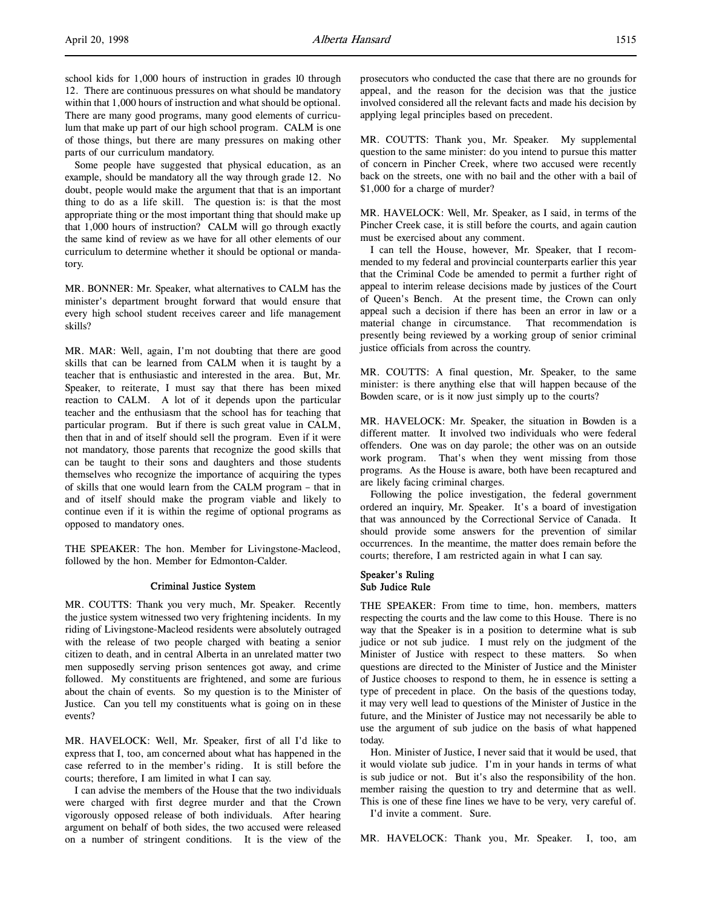school kids for 1,000 hours of instruction in grades 10 through 12. There are continuous pressures on what should be mandatory within that 1,000 hours of instruction and what should be optional. There are many good programs, many good elements of curriculum that make up part of our high school program. CALM is one of those things, but there are many pressures on making other parts of our curriculum mandatory.

Some people have suggested that physical education, as an example, should be mandatory all the way through grade 12. No doubt, people would make the argument that that is an important thing to do as a life skill. The question is: is that the most appropriate thing or the most important thing that should make up that 1,000 hours of instruction? CALM will go through exactly the same kind of review as we have for all other elements of our curriculum to determine whether it should be optional or mandatory.

MR. BONNER: Mr. Speaker, what alternatives to CALM has the minister's department brought forward that would ensure that every high school student receives career and life management skills?

MR. MAR: Well, again, I'm not doubting that there are good skills that can be learned from CALM when it is taught by a teacher that is enthusiastic and interested in the area. But, Mr. Speaker, to reiterate, I must say that there has been mixed reaction to CALM. A lot of it depends upon the particular teacher and the enthusiasm that the school has for teaching that particular program. But if there is such great value in CALM, then that in and of itself should sell the program. Even if it were not mandatory, those parents that recognize the good skills that can be taught to their sons and daughters and those students themselves who recognize the importance of acquiring the types of skills that one would learn from the CALM program – that in and of itself should make the program viable and likely to continue even if it is within the regime of optional programs as opposed to mandatory ones.

THE SPEAKER: The hon. Member for Livingstone-Macleod, followed by the hon. Member for Edmonton-Calder.

### Criminal Justice System

MR. COUTTS: Thank you very much, Mr. Speaker. Recently the justice system witnessed two very frightening incidents. In my riding of Livingstone-Macleod residents were absolutely outraged with the release of two people charged with beating a senior citizen to death, and in central Alberta in an unrelated matter two men supposedly serving prison sentences got away, and crime followed. My constituents are frightened, and some are furious about the chain of events. So my question is to the Minister of Justice. Can you tell my constituents what is going on in these events?

MR. HAVELOCK: Well, Mr. Speaker, first of all I'd like to express that I, too, am concerned about what has happened in the case referred to in the member's riding. It is still before the courts; therefore, I am limited in what I can say.

I can advise the members of the House that the two individuals were charged with first degree murder and that the Crown vigorously opposed release of both individuals. After hearing argument on behalf of both sides, the two accused were released on a number of stringent conditions. It is the view of the prosecutors who conducted the case that there are no grounds for appeal, and the reason for the decision was that the justice involved considered all the relevant facts and made his decision by applying legal principles based on precedent.

MR. COUTTS: Thank you, Mr. Speaker. My supplemental question to the same minister: do you intend to pursue this matter of concern in Pincher Creek, where two accused were recently back on the streets, one with no bail and the other with a bail of \$1,000 for a charge of murder?

MR. HAVELOCK: Well, Mr. Speaker, as I said, in terms of the Pincher Creek case, it is still before the courts, and again caution must be exercised about any comment.

I can tell the House, however, Mr. Speaker, that I recommended to my federal and provincial counterparts earlier this year that the Criminal Code be amended to permit a further right of appeal to interim release decisions made by justices of the Court of Queen's Bench. At the present time, the Crown can only appeal such a decision if there has been an error in law or a material change in circumstance. That recommendation is presently being reviewed by a working group of senior criminal justice officials from across the country.

MR. COUTTS: A final question, Mr. Speaker, to the same minister: is there anything else that will happen because of the Bowden scare, or is it now just simply up to the courts?

MR. HAVELOCK: Mr. Speaker, the situation in Bowden is a different matter. It involved two individuals who were federal offenders. One was on day parole; the other was on an outside work program. That's when they went missing from those programs. As the House is aware, both have been recaptured and are likely facing criminal charges.

Following the police investigation, the federal government ordered an inquiry, Mr. Speaker. It's a board of investigation that was announced by the Correctional Service of Canada. It should provide some answers for the prevention of similar occurrences. In the meantime, the matter does remain before the courts; therefore, I am restricted again in what I can say.

## Speaker's Ruling Sub Judice Rule

THE SPEAKER: From time to time, hon. members, matters respecting the courts and the law come to this House. There is no way that the Speaker is in a position to determine what is sub judice or not sub judice. I must rely on the judgment of the Minister of Justice with respect to these matters. So when questions are directed to the Minister of Justice and the Minister of Justice chooses to respond to them, he in essence is setting a type of precedent in place. On the basis of the questions today, it may very well lead to questions of the Minister of Justice in the future, and the Minister of Justice may not necessarily be able to use the argument of sub judice on the basis of what happened today.

Hon. Minister of Justice, I never said that it would be used, that it would violate sub judice. I'm in your hands in terms of what is sub judice or not. But it's also the responsibility of the hon. member raising the question to try and determine that as well. This is one of these fine lines we have to be very, very careful of. I'd invite a comment. Sure.

MR. HAVELOCK: Thank you, Mr. Speaker. I, too, am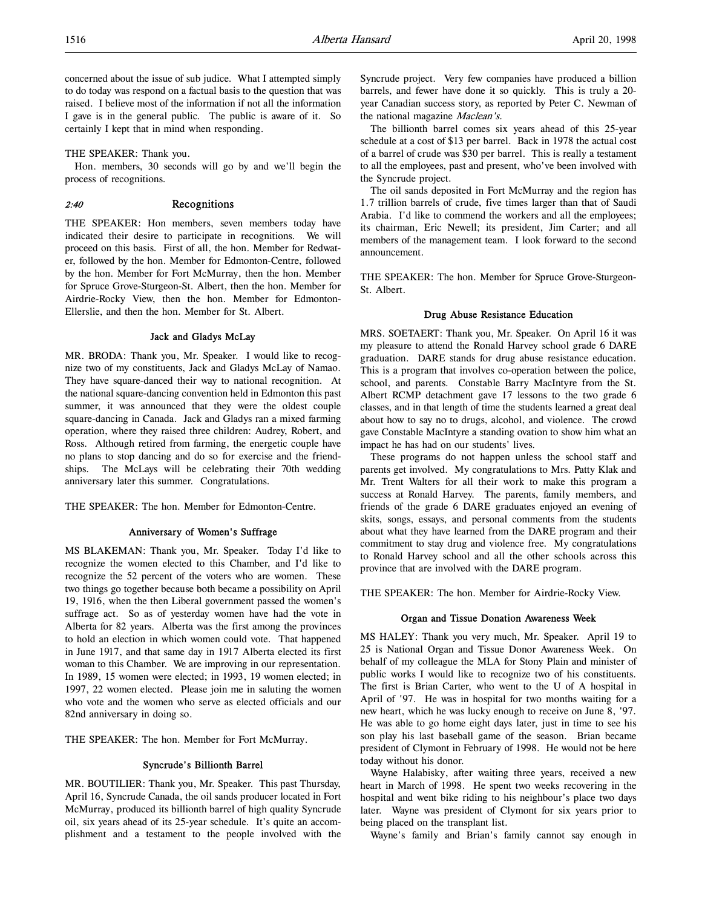concerned about the issue of sub judice. What I attempted simply to do today was respond on a factual basis to the question that was raised. I believe most of the information if not all the information I gave is in the general public. The public is aware of it. So certainly I kept that in mind when responding.

THE SPEAKER: Thank you.

Hon. members, 30 seconds will go by and we'll begin the process of recognitions.

# 2:40 Recognitions

THE SPEAKER: Hon members, seven members today have indicated their desire to participate in recognitions. We will proceed on this basis. First of all, the hon. Member for Redwater, followed by the hon. Member for Edmonton-Centre, followed by the hon. Member for Fort McMurray, then the hon. Member for Spruce Grove-Sturgeon-St. Albert, then the hon. Member for Airdrie-Rocky View, then the hon. Member for Edmonton-Ellerslie, and then the hon. Member for St. Albert.

#### Jack and Gladys McLay

MR. BRODA: Thank you, Mr. Speaker. I would like to recognize two of my constituents, Jack and Gladys McLay of Namao. They have square-danced their way to national recognition. At the national square-dancing convention held in Edmonton this past summer, it was announced that they were the oldest couple square-dancing in Canada. Jack and Gladys ran a mixed farming operation, where they raised three children: Audrey, Robert, and Ross. Although retired from farming, the energetic couple have no plans to stop dancing and do so for exercise and the friendships. The McLays will be celebrating their 70th wedding anniversary later this summer. Congratulations.

THE SPEAKER: The hon. Member for Edmonton-Centre.

### Anniversary of Women's Suffrage

MS BLAKEMAN: Thank you, Mr. Speaker. Today I'd like to recognize the women elected to this Chamber, and I'd like to recognize the 52 percent of the voters who are women. These two things go together because both became a possibility on April 19, 1916, when the then Liberal government passed the women's suffrage act. So as of yesterday women have had the vote in Alberta for 82 years. Alberta was the first among the provinces to hold an election in which women could vote. That happened in June 1917, and that same day in 1917 Alberta elected its first woman to this Chamber. We are improving in our representation. In 1989, 15 women were elected; in 1993, 19 women elected; in 1997, 22 women elected. Please join me in saluting the women who vote and the women who serve as elected officials and our 82nd anniversary in doing so.

THE SPEAKER: The hon. Member for Fort McMurray.

### Syncrude's Billionth Barrel

MR. BOUTILIER: Thank you, Mr. Speaker. This past Thursday, April 16, Syncrude Canada, the oil sands producer located in Fort McMurray, produced its billionth barrel of high quality Syncrude oil, six years ahead of its 25-year schedule. It's quite an accomplishment and a testament to the people involved with the

Syncrude project. Very few companies have produced a billion barrels, and fewer have done it so quickly. This is truly a 20 year Canadian success story, as reported by Peter C. Newman of the national magazine Maclean's.

The billionth barrel comes six years ahead of this 25-year schedule at a cost of \$13 per barrel. Back in 1978 the actual cost of a barrel of crude was \$30 per barrel. This is really a testament to all the employees, past and present, who've been involved with the Syncrude project.

The oil sands deposited in Fort McMurray and the region has 1.7 trillion barrels of crude, five times larger than that of Saudi Arabia. I'd like to commend the workers and all the employees; its chairman, Eric Newell; its president, Jim Carter; and all members of the management team. I look forward to the second announcement.

THE SPEAKER: The hon. Member for Spruce Grove-Sturgeon-St. Albert.

### Drug Abuse Resistance Education

MRS. SOETAERT: Thank you, Mr. Speaker. On April 16 it was my pleasure to attend the Ronald Harvey school grade 6 DARE graduation. DARE stands for drug abuse resistance education. This is a program that involves co-operation between the police, school, and parents. Constable Barry MacIntyre from the St. Albert RCMP detachment gave 17 lessons to the two grade 6 classes, and in that length of time the students learned a great deal about how to say no to drugs, alcohol, and violence. The crowd gave Constable MacIntyre a standing ovation to show him what an impact he has had on our students' lives.

These programs do not happen unless the school staff and parents get involved. My congratulations to Mrs. Patty Klak and Mr. Trent Walters for all their work to make this program a success at Ronald Harvey. The parents, family members, and friends of the grade 6 DARE graduates enjoyed an evening of skits, songs, essays, and personal comments from the students about what they have learned from the DARE program and their commitment to stay drug and violence free. My congratulations to Ronald Harvey school and all the other schools across this province that are involved with the DARE program.

THE SPEAKER: The hon. Member for Airdrie-Rocky View.

# Organ and Tissue Donation Awareness Week

MS HALEY: Thank you very much, Mr. Speaker. April 19 to 25 is National Organ and Tissue Donor Awareness Week. On behalf of my colleague the MLA for Stony Plain and minister of public works I would like to recognize two of his constituents. The first is Brian Carter, who went to the U of A hospital in April of '97. He was in hospital for two months waiting for a new heart, which he was lucky enough to receive on June 8, '97. He was able to go home eight days later, just in time to see his son play his last baseball game of the season. Brian became president of Clymont in February of 1998. He would not be here today without his donor.

Wayne Halabisky, after waiting three years, received a new heart in March of 1998. He spent two weeks recovering in the hospital and went bike riding to his neighbour's place two days later. Wayne was president of Clymont for six years prior to being placed on the transplant list.

Wayne's family and Brian's family cannot say enough in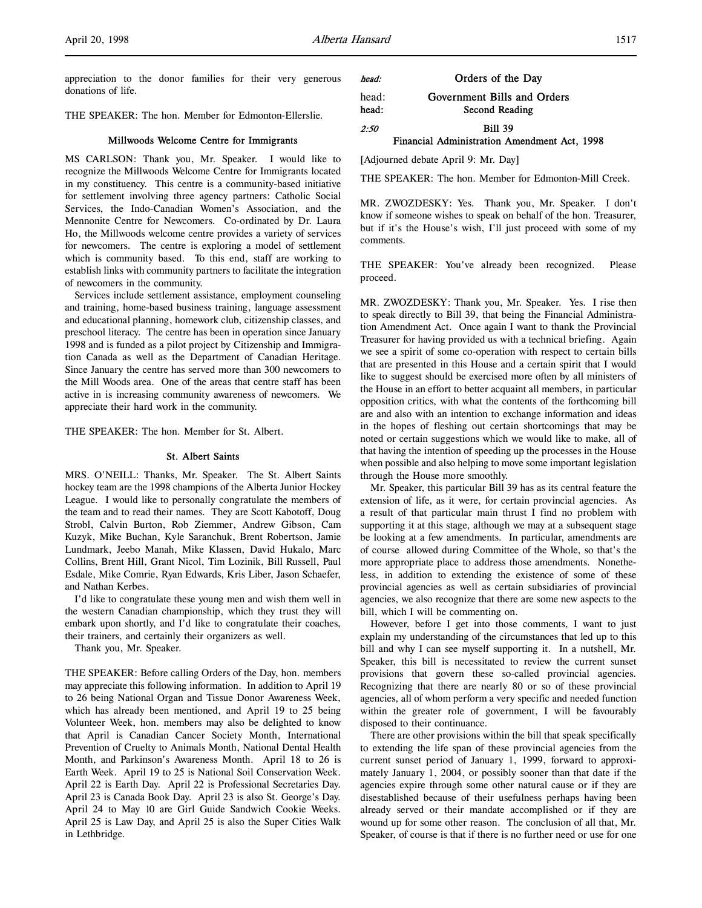appreciation to the donor families for their very generous donations of life.

THE SPEAKER: The hon. Member for Edmonton-Ellerslie.

### Millwoods Welcome Centre for Immigrants

MS CARLSON: Thank you, Mr. Speaker. I would like to recognize the Millwoods Welcome Centre for Immigrants located in my constituency. This centre is a community-based initiative for settlement involving three agency partners: Catholic Social Services, the Indo-Canadian Women's Association, and the Mennonite Centre for Newcomers. Co-ordinated by Dr. Laura Ho, the Millwoods welcome centre provides a variety of services for newcomers. The centre is exploring a model of settlement which is community based. To this end, staff are working to establish links with community partners to facilitate the integration of newcomers in the community.

Services include settlement assistance, employment counseling and training, home-based business training, language assessment and educational planning, homework club, citizenship classes, and preschool literacy. The centre has been in operation since January 1998 and is funded as a pilot project by Citizenship and Immigration Canada as well as the Department of Canadian Heritage. Since January the centre has served more than 300 newcomers to the Mill Woods area. One of the areas that centre staff has been active in is increasing community awareness of newcomers. We appreciate their hard work in the community.

THE SPEAKER: The hon. Member for St. Albert.

#### St. Albert Saints

MRS. O'NEILL: Thanks, Mr. Speaker. The St. Albert Saints hockey team are the 1998 champions of the Alberta Junior Hockey League. I would like to personally congratulate the members of the team and to read their names. They are Scott Kabotoff, Doug Strobl, Calvin Burton, Rob Ziemmer, Andrew Gibson, Cam Kuzyk, Mike Buchan, Kyle Saranchuk, Brent Robertson, Jamie Lundmark, Jeebo Manah, Mike Klassen, David Hukalo, Marc Collins, Brent Hill, Grant Nicol, Tim Lozinik, Bill Russell, Paul Esdale, Mike Comrie, Ryan Edwards, Kris Liber, Jason Schaefer, and Nathan Kerbes.

I'd like to congratulate these young men and wish them well in the western Canadian championship, which they trust they will embark upon shortly, and I'd like to congratulate their coaches, their trainers, and certainly their organizers as well.

Thank you, Mr. Speaker.

THE SPEAKER: Before calling Orders of the Day, hon. members may appreciate this following information. In addition to April 19 to 26 being National Organ and Tissue Donor Awareness Week, which has already been mentioned, and April 19 to 25 being Volunteer Week, hon. members may also be delighted to know that April is Canadian Cancer Society Month, International Prevention of Cruelty to Animals Month, National Dental Health Month, and Parkinson's Awareness Month. April 18 to 26 is Earth Week. April 19 to 25 is National Soil Conservation Week. April 22 is Earth Day. April 22 is Professional Secretaries Day. April 23 is Canada Book Day. April 23 is also St. George's Day. April 24 to May 10 are Girl Guide Sandwich Cookie Weeks. April 25 is Law Day, and April 25 is also the Super Cities Walk in Lethbridge.

| head: | Orders of the Day |  |  |
|-------|-------------------|--|--|
|       |                   |  |  |

# head: Government Bills and Orders head: Second Reading

2:50 Bill 39

#### Financial Administration Amendment Act, 1998

[Adjourned debate April 9: Mr. Day]

THE SPEAKER: The hon. Member for Edmonton-Mill Creek.

MR. ZWOZDESKY: Yes. Thank you, Mr. Speaker. I don't know if someone wishes to speak on behalf of the hon. Treasurer, but if it's the House's wish, I'll just proceed with some of my comments.

THE SPEAKER: You've already been recognized. Please proceed.

MR. ZWOZDESKY: Thank you, Mr. Speaker. Yes. I rise then to speak directly to Bill 39, that being the Financial Administration Amendment Act. Once again I want to thank the Provincial Treasurer for having provided us with a technical briefing. Again we see a spirit of some co-operation with respect to certain bills that are presented in this House and a certain spirit that I would like to suggest should be exercised more often by all ministers of the House in an effort to better acquaint all members, in particular opposition critics, with what the contents of the forthcoming bill are and also with an intention to exchange information and ideas in the hopes of fleshing out certain shortcomings that may be noted or certain suggestions which we would like to make, all of that having the intention of speeding up the processes in the House when possible and also helping to move some important legislation through the House more smoothly.

Mr. Speaker, this particular Bill 39 has as its central feature the extension of life, as it were, for certain provincial agencies. As a result of that particular main thrust I find no problem with supporting it at this stage, although we may at a subsequent stage be looking at a few amendments. In particular, amendments are of course allowed during Committee of the Whole, so that's the more appropriate place to address those amendments. Nonetheless, in addition to extending the existence of some of these provincial agencies as well as certain subsidiaries of provincial agencies, we also recognize that there are some new aspects to the bill, which I will be commenting on.

However, before I get into those comments, I want to just explain my understanding of the circumstances that led up to this bill and why I can see myself supporting it. In a nutshell, Mr. Speaker, this bill is necessitated to review the current sunset provisions that govern these so-called provincial agencies. Recognizing that there are nearly 80 or so of these provincial agencies, all of whom perform a very specific and needed function within the greater role of government, I will be favourably disposed to their continuance.

There are other provisions within the bill that speak specifically to extending the life span of these provincial agencies from the current sunset period of January 1, 1999, forward to approximately January 1, 2004, or possibly sooner than that date if the agencies expire through some other natural cause or if they are disestablished because of their usefulness perhaps having been already served or their mandate accomplished or if they are wound up for some other reason. The conclusion of all that, Mr. Speaker, of course is that if there is no further need or use for one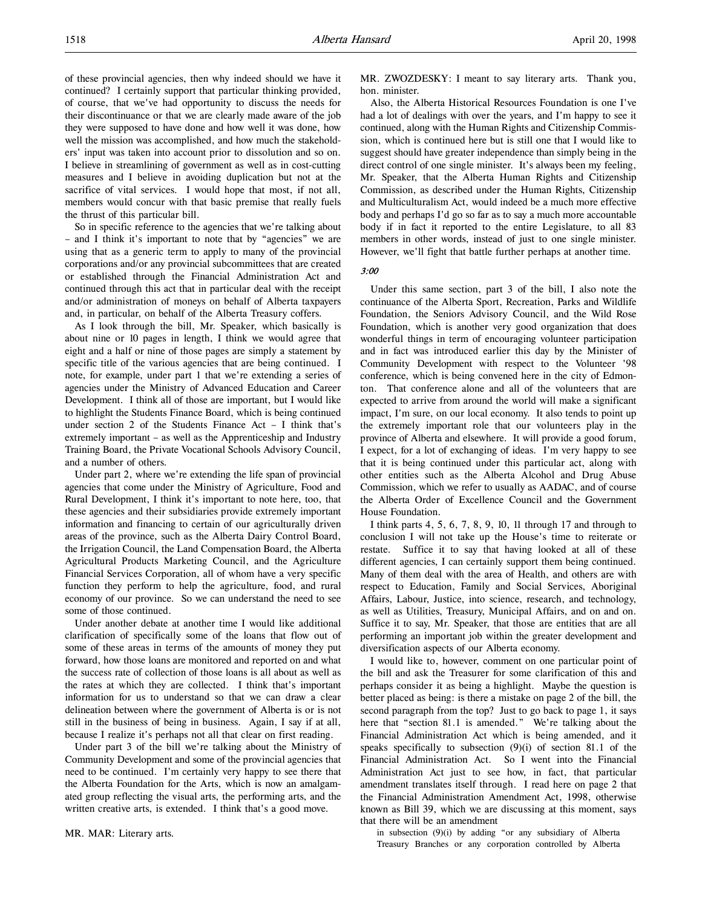of these provincial agencies, then why indeed should we have it continued? I certainly support that particular thinking provided, of course, that we've had opportunity to discuss the needs for their discontinuance or that we are clearly made aware of the job they were supposed to have done and how well it was done, how well the mission was accomplished, and how much the stakeholders' input was taken into account prior to dissolution and so on. I believe in streamlining of government as well as in cost-cutting measures and I believe in avoiding duplication but not at the sacrifice of vital services. I would hope that most, if not all, members would concur with that basic premise that really fuels the thrust of this particular bill.

So in specific reference to the agencies that we're talking about – and I think it's important to note that by "agencies" we are using that as a generic term to apply to many of the provincial corporations and/or any provincial subcommittees that are created or established through the Financial Administration Act and continued through this act that in particular deal with the receipt and/or administration of moneys on behalf of Alberta taxpayers and, in particular, on behalf of the Alberta Treasury coffers.

As I look through the bill, Mr. Speaker, which basically is about nine or 10 pages in length, I think we would agree that eight and a half or nine of those pages are simply a statement by specific title of the various agencies that are being continued. I note, for example, under part 1 that we're extending a series of agencies under the Ministry of Advanced Education and Career Development. I think all of those are important, but I would like to highlight the Students Finance Board, which is being continued under section 2 of the Students Finance Act – I think that's extremely important – as well as the Apprenticeship and Industry Training Board, the Private Vocational Schools Advisory Council, and a number of others.

Under part 2, where we're extending the life span of provincial agencies that come under the Ministry of Agriculture, Food and Rural Development, I think it's important to note here, too, that these agencies and their subsidiaries provide extremely important information and financing to certain of our agriculturally driven areas of the province, such as the Alberta Dairy Control Board, the Irrigation Council, the Land Compensation Board, the Alberta Agricultural Products Marketing Council, and the Agriculture Financial Services Corporation, all of whom have a very specific function they perform to help the agriculture, food, and rural economy of our province. So we can understand the need to see some of those continued.

Under another debate at another time I would like additional clarification of specifically some of the loans that flow out of some of these areas in terms of the amounts of money they put forward, how those loans are monitored and reported on and what the success rate of collection of those loans is all about as well as the rates at which they are collected. I think that's important information for us to understand so that we can draw a clear delineation between where the government of Alberta is or is not still in the business of being in business. Again, I say if at all, because I realize it's perhaps not all that clear on first reading.

Under part 3 of the bill we're talking about the Ministry of Community Development and some of the provincial agencies that need to be continued. I'm certainly very happy to see there that the Alberta Foundation for the Arts, which is now an amalgamated group reflecting the visual arts, the performing arts, and the written creative arts, is extended. I think that's a good move.

MR. MAR: Literary arts.

MR. ZWOZDESKY: I meant to say literary arts. Thank you, hon. minister.

Also, the Alberta Historical Resources Foundation is one I've had a lot of dealings with over the years, and I'm happy to see it continued, along with the Human Rights and Citizenship Commission, which is continued here but is still one that I would like to suggest should have greater independence than simply being in the direct control of one single minister. It's always been my feeling, Mr. Speaker, that the Alberta Human Rights and Citizenship Commission, as described under the Human Rights, Citizenship and Multiculturalism Act, would indeed be a much more effective body and perhaps I'd go so far as to say a much more accountable body if in fact it reported to the entire Legislature, to all 83 members in other words, instead of just to one single minister. However, we'll fight that battle further perhaps at another time.

3:00

Under this same section, part 3 of the bill, I also note the continuance of the Alberta Sport, Recreation, Parks and Wildlife Foundation, the Seniors Advisory Council, and the Wild Rose Foundation, which is another very good organization that does wonderful things in term of encouraging volunteer participation and in fact was introduced earlier this day by the Minister of Community Development with respect to the Volunteer '98 conference, which is being convened here in the city of Edmonton. That conference alone and all of the volunteers that are expected to arrive from around the world will make a significant impact, I'm sure, on our local economy. It also tends to point up the extremely important role that our volunteers play in the province of Alberta and elsewhere. It will provide a good forum, I expect, for a lot of exchanging of ideas. I'm very happy to see that it is being continued under this particular act, along with other entities such as the Alberta Alcohol and Drug Abuse Commission, which we refer to usually as AADAC, and of course the Alberta Order of Excellence Council and the Government House Foundation.

I think parts 4, 5, 6, 7, 8, 9, 10, 11 through 17 and through to conclusion I will not take up the House's time to reiterate or restate. Suffice it to say that having looked at all of these different agencies, I can certainly support them being continued. Many of them deal with the area of Health, and others are with respect to Education, Family and Social Services, Aboriginal Affairs, Labour, Justice, into science, research, and technology, as well as Utilities, Treasury, Municipal Affairs, and on and on. Suffice it to say, Mr. Speaker, that those are entities that are all performing an important job within the greater development and diversification aspects of our Alberta economy.

I would like to, however, comment on one particular point of the bill and ask the Treasurer for some clarification of this and perhaps consider it as being a highlight. Maybe the question is better placed as being: is there a mistake on page 2 of the bill, the second paragraph from the top? Just to go back to page 1, it says here that "section 81.1 is amended." We're talking about the Financial Administration Act which is being amended, and it speaks specifically to subsection  $(9)(i)$  of section 81.1 of the Financial Administration Act. So I went into the Financial Administration Act just to see how, in fact, that particular amendment translates itself through. I read here on page 2 that the Financial Administration Amendment Act, 1998, otherwise known as Bill 39, which we are discussing at this moment, says that there will be an amendment

in subsection (9)(i) by adding "or any subsidiary of Alberta Treasury Branches or any corporation controlled by Alberta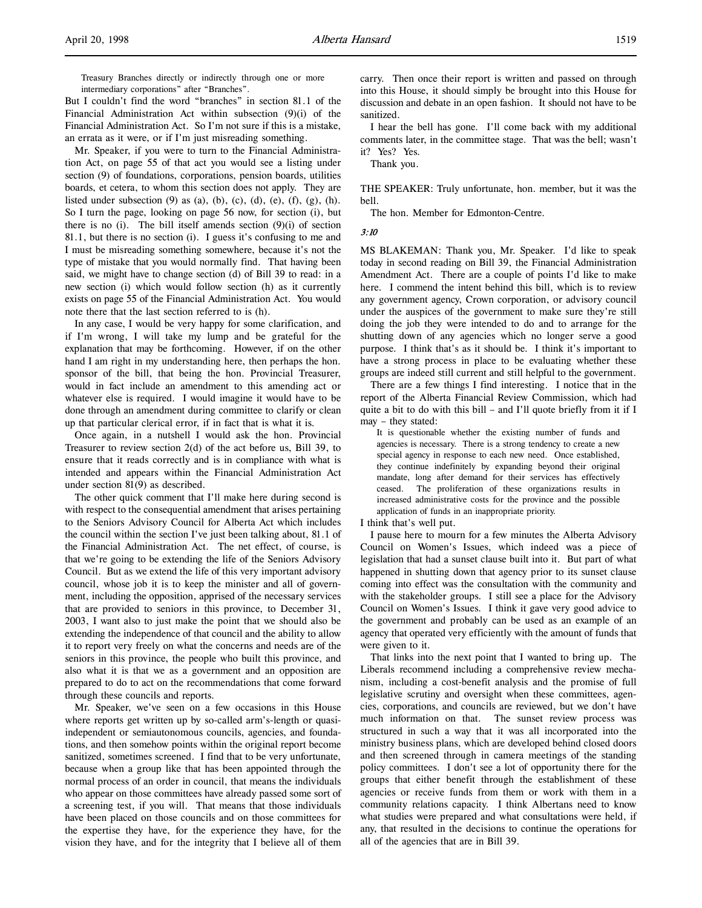But I couldn't find the word "branches" in section 81.1 of the Financial Administration Act within subsection (9)(i) of the Financial Administration Act. So I'm not sure if this is a mistake, an errata as it were, or if I'm just misreading something.

Mr. Speaker, if you were to turn to the Financial Administration Act, on page 55 of that act you would see a listing under section (9) of foundations, corporations, pension boards, utilities boards, et cetera, to whom this section does not apply. They are listed under subsection  $(9)$  as  $(a)$ ,  $(b)$ ,  $(c)$ ,  $(d)$ ,  $(e)$ ,  $(f)$ ,  $(g)$ ,  $(h)$ . So I turn the page, looking on page 56 now, for section (i), but there is no (i). The bill itself amends section  $(9)(i)$  of section 81.1, but there is no section (i). I guess it's confusing to me and I must be misreading something somewhere, because it's not the type of mistake that you would normally find. That having been said, we might have to change section (d) of Bill 39 to read: in a new section (i) which would follow section (h) as it currently exists on page 55 of the Financial Administration Act. You would note there that the last section referred to is (h).

In any case, I would be very happy for some clarification, and if I'm wrong, I will take my lump and be grateful for the explanation that may be forthcoming. However, if on the other hand I am right in my understanding here, then perhaps the hon. sponsor of the bill, that being the hon. Provincial Treasurer, would in fact include an amendment to this amending act or whatever else is required. I would imagine it would have to be done through an amendment during committee to clarify or clean up that particular clerical error, if in fact that is what it is.

Once again, in a nutshell I would ask the hon. Provincial Treasurer to review section 2(d) of the act before us, Bill 39, to ensure that it reads correctly and is in compliance with what is intended and appears within the Financial Administration Act under section 81(9) as described.

The other quick comment that I'll make here during second is with respect to the consequential amendment that arises pertaining to the Seniors Advisory Council for Alberta Act which includes the council within the section I've just been talking about, 81.1 of the Financial Administration Act. The net effect, of course, is that we're going to be extending the life of the Seniors Advisory Council. But as we extend the life of this very important advisory council, whose job it is to keep the minister and all of government, including the opposition, apprised of the necessary services that are provided to seniors in this province, to December 31, 2003, I want also to just make the point that we should also be extending the independence of that council and the ability to allow it to report very freely on what the concerns and needs are of the seniors in this province, the people who built this province, and also what it is that we as a government and an opposition are prepared to do to act on the recommendations that come forward through these councils and reports.

Mr. Speaker, we've seen on a few occasions in this House where reports get written up by so-called arm's-length or quasiindependent or semiautonomous councils, agencies, and foundations, and then somehow points within the original report become sanitized, sometimes screened. I find that to be very unfortunate, because when a group like that has been appointed through the normal process of an order in council, that means the individuals who appear on those committees have already passed some sort of a screening test, if you will. That means that those individuals have been placed on those councils and on those committees for the expertise they have, for the experience they have, for the vision they have, and for the integrity that I believe all of them

carry. Then once their report is written and passed on through into this House, it should simply be brought into this House for discussion and debate in an open fashion. It should not have to be sanitized.

I hear the bell has gone. I'll come back with my additional comments later, in the committee stage. That was the bell; wasn't it? Yes? Yes.

Thank you.

THE SPEAKER: Truly unfortunate, hon. member, but it was the bell.

The hon. Member for Edmonton-Centre.

#### 3:10

MS BLAKEMAN: Thank you, Mr. Speaker. I'd like to speak today in second reading on Bill 39, the Financial Administration Amendment Act. There are a couple of points I'd like to make here. I commend the intent behind this bill, which is to review any government agency, Crown corporation, or advisory council under the auspices of the government to make sure they're still doing the job they were intended to do and to arrange for the shutting down of any agencies which no longer serve a good purpose. I think that's as it should be. I think it's important to have a strong process in place to be evaluating whether these groups are indeed still current and still helpful to the government.

There are a few things I find interesting. I notice that in the report of the Alberta Financial Review Commission, which had quite a bit to do with this bill – and I'll quote briefly from it if I may – they stated:

It is questionable whether the existing number of funds and agencies is necessary. There is a strong tendency to create a new special agency in response to each new need. Once established, they continue indefinitely by expanding beyond their original mandate, long after demand for their services has effectively ceased. The proliferation of these organizations results in increased administrative costs for the province and the possible application of funds in an inappropriate priority.

I think that's well put.

I pause here to mourn for a few minutes the Alberta Advisory Council on Women's Issues, which indeed was a piece of legislation that had a sunset clause built into it. But part of what happened in shutting down that agency prior to its sunset clause coming into effect was the consultation with the community and with the stakeholder groups. I still see a place for the Advisory Council on Women's Issues. I think it gave very good advice to the government and probably can be used as an example of an agency that operated very efficiently with the amount of funds that were given to it.

That links into the next point that I wanted to bring up. The Liberals recommend including a comprehensive review mechanism, including a cost-benefit analysis and the promise of full legislative scrutiny and oversight when these committees, agencies, corporations, and councils are reviewed, but we don't have much information on that. The sunset review process was structured in such a way that it was all incorporated into the ministry business plans, which are developed behind closed doors and then screened through in camera meetings of the standing policy committees. I don't see a lot of opportunity there for the groups that either benefit through the establishment of these agencies or receive funds from them or work with them in a community relations capacity. I think Albertans need to know what studies were prepared and what consultations were held, if any, that resulted in the decisions to continue the operations for all of the agencies that are in Bill 39.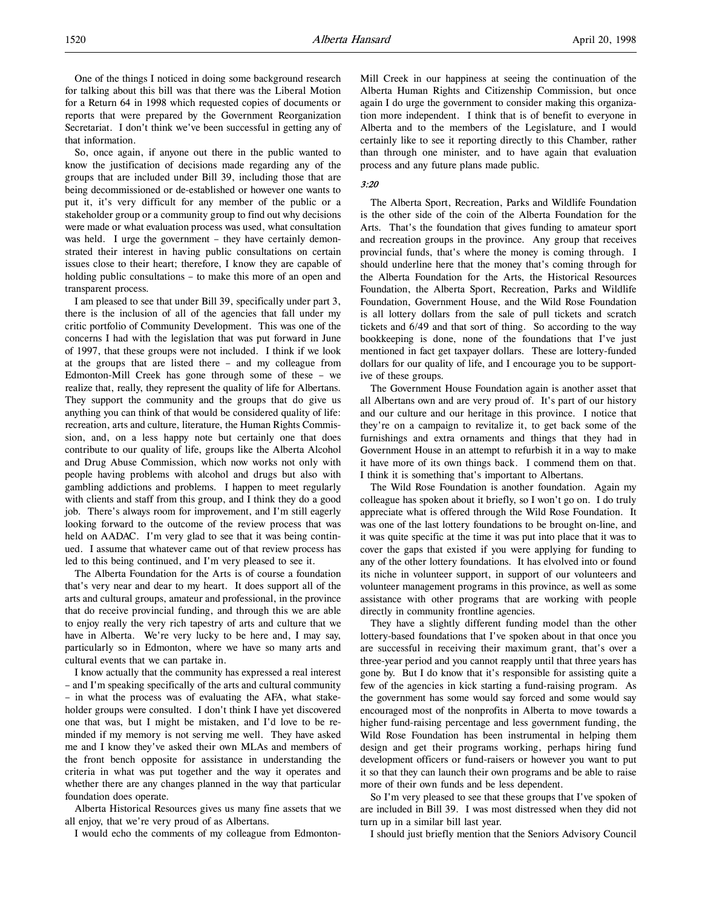One of the things I noticed in doing some background research for talking about this bill was that there was the Liberal Motion for a Return 64 in 1998 which requested copies of documents or reports that were prepared by the Government Reorganization Secretariat. I don't think we've been successful in getting any of that information.

So, once again, if anyone out there in the public wanted to know the justification of decisions made regarding any of the groups that are included under Bill 39, including those that are being decommissioned or de-established or however one wants to put it, it's very difficult for any member of the public or a stakeholder group or a community group to find out why decisions were made or what evaluation process was used, what consultation was held. I urge the government – they have certainly demonstrated their interest in having public consultations on certain issues close to their heart; therefore, I know they are capable of holding public consultations – to make this more of an open and transparent process.

I am pleased to see that under Bill 39, specifically under part 3, there is the inclusion of all of the agencies that fall under my critic portfolio of Community Development. This was one of the concerns I had with the legislation that was put forward in June of 1997, that these groups were not included. I think if we look at the groups that are listed there – and my colleague from Edmonton-Mill Creek has gone through some of these – we realize that, really, they represent the quality of life for Albertans. They support the community and the groups that do give us anything you can think of that would be considered quality of life: recreation, arts and culture, literature, the Human Rights Commission, and, on a less happy note but certainly one that does contribute to our quality of life, groups like the Alberta Alcohol and Drug Abuse Commission, which now works not only with people having problems with alcohol and drugs but also with gambling addictions and problems. I happen to meet regularly with clients and staff from this group, and I think they do a good job. There's always room for improvement, and I'm still eagerly looking forward to the outcome of the review process that was held on AADAC. I'm very glad to see that it was being continued. I assume that whatever came out of that review process has led to this being continued, and I'm very pleased to see it.

The Alberta Foundation for the Arts is of course a foundation that's very near and dear to my heart. It does support all of the arts and cultural groups, amateur and professional, in the province that do receive provincial funding, and through this we are able to enjoy really the very rich tapestry of arts and culture that we have in Alberta. We're very lucky to be here and, I may say, particularly so in Edmonton, where we have so many arts and cultural events that we can partake in.

I know actually that the community has expressed a real interest – and I'm speaking specifically of the arts and cultural community – in what the process was of evaluating the AFA, what stakeholder groups were consulted. I don't think I have yet discovered one that was, but I might be mistaken, and I'd love to be reminded if my memory is not serving me well. They have asked me and I know they've asked their own MLAs and members of the front bench opposite for assistance in understanding the criteria in what was put together and the way it operates and whether there are any changes planned in the way that particular foundation does operate.

Alberta Historical Resources gives us many fine assets that we all enjoy, that we're very proud of as Albertans.

I would echo the comments of my colleague from Edmonton-

Mill Creek in our happiness at seeing the continuation of the Alberta Human Rights and Citizenship Commission, but once again I do urge the government to consider making this organization more independent. I think that is of benefit to everyone in Alberta and to the members of the Legislature, and I would certainly like to see it reporting directly to this Chamber, rather than through one minister, and to have again that evaluation process and any future plans made public.

### 3:20

The Alberta Sport, Recreation, Parks and Wildlife Foundation is the other side of the coin of the Alberta Foundation for the Arts. That's the foundation that gives funding to amateur sport and recreation groups in the province. Any group that receives provincial funds, that's where the money is coming through. I should underline here that the money that's coming through for the Alberta Foundation for the Arts, the Historical Resources Foundation, the Alberta Sport, Recreation, Parks and Wildlife Foundation, Government House, and the Wild Rose Foundation is all lottery dollars from the sale of pull tickets and scratch tickets and 6/49 and that sort of thing. So according to the way bookkeeping is done, none of the foundations that I've just mentioned in fact get taxpayer dollars. These are lottery-funded dollars for our quality of life, and I encourage you to be supportive of these groups.

The Government House Foundation again is another asset that all Albertans own and are very proud of. It's part of our history and our culture and our heritage in this province. I notice that they're on a campaign to revitalize it, to get back some of the furnishings and extra ornaments and things that they had in Government House in an attempt to refurbish it in a way to make it have more of its own things back. I commend them on that. I think it is something that's important to Albertans.

The Wild Rose Foundation is another foundation. Again my colleague has spoken about it briefly, so I won't go on. I do truly appreciate what is offered through the Wild Rose Foundation. It was one of the last lottery foundations to be brought on-line, and it was quite specific at the time it was put into place that it was to cover the gaps that existed if you were applying for funding to any of the other lottery foundations. It has elvolved into or found its niche in volunteer support, in support of our volunteers and volunteer management programs in this province, as well as some assistance with other programs that are working with people directly in community frontline agencies.

They have a slightly different funding model than the other lottery-based foundations that I've spoken about in that once you are successful in receiving their maximum grant, that's over a three-year period and you cannot reapply until that three years has gone by. But I do know that it's responsible for assisting quite a few of the agencies in kick starting a fund-raising program. As the government has some would say forced and some would say encouraged most of the nonprofits in Alberta to move towards a higher fund-raising percentage and less government funding, the Wild Rose Foundation has been instrumental in helping them design and get their programs working, perhaps hiring fund development officers or fund-raisers or however you want to put it so that they can launch their own programs and be able to raise more of their own funds and be less dependent.

So I'm very pleased to see that these groups that I've spoken of are included in Bill 39. I was most distressed when they did not turn up in a similar bill last year.

I should just briefly mention that the Seniors Advisory Council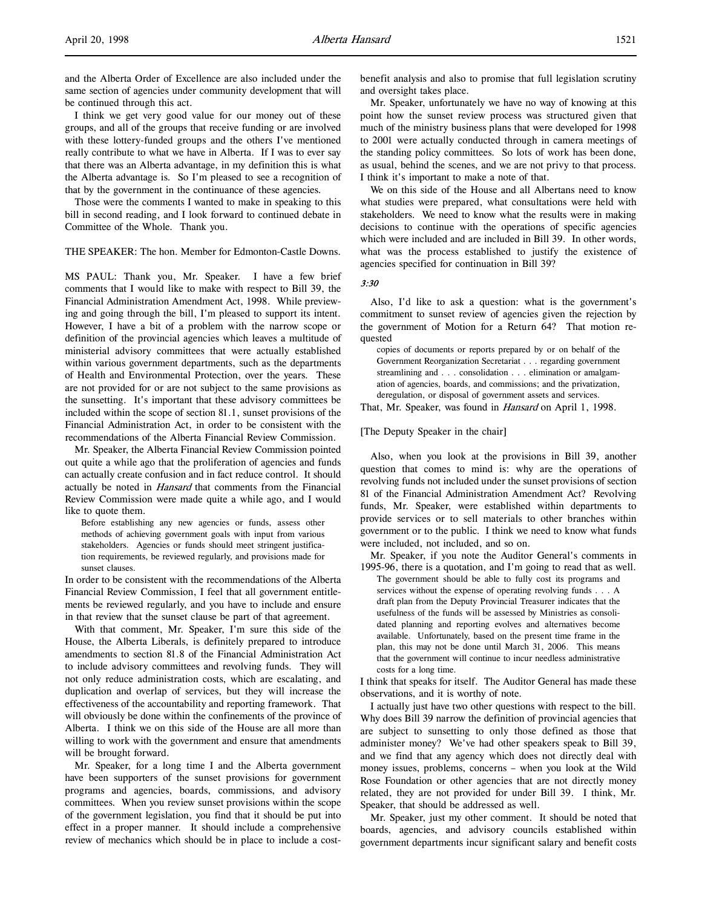and the Alberta Order of Excellence are also included under the same section of agencies under community development that will be continued through this act.

I think we get very good value for our money out of these groups, and all of the groups that receive funding or are involved with these lottery-funded groups and the others I've mentioned really contribute to what we have in Alberta. If I was to ever say that there was an Alberta advantage, in my definition this is what the Alberta advantage is. So I'm pleased to see a recognition of that by the government in the continuance of these agencies.

Those were the comments I wanted to make in speaking to this bill in second reading, and I look forward to continued debate in Committee of the Whole. Thank you.

THE SPEAKER: The hon. Member for Edmonton-Castle Downs.

MS PAUL: Thank you, Mr. Speaker. I have a few brief comments that I would like to make with respect to Bill 39, the Financial Administration Amendment Act, 1998. While previewing and going through the bill, I'm pleased to support its intent. However, I have a bit of a problem with the narrow scope or definition of the provincial agencies which leaves a multitude of ministerial advisory committees that were actually established within various government departments, such as the departments of Health and Environmental Protection, over the years. These are not provided for or are not subject to the same provisions as the sunsetting. It's important that these advisory committees be included within the scope of section 81.1, sunset provisions of the Financial Administration Act, in order to be consistent with the recommendations of the Alberta Financial Review Commission.

Mr. Speaker, the Alberta Financial Review Commission pointed out quite a while ago that the proliferation of agencies and funds can actually create confusion and in fact reduce control. It should actually be noted in *Hansard* that comments from the Financial Review Commission were made quite a while ago, and I would like to quote them.

Before establishing any new agencies or funds, assess other methods of achieving government goals with input from various stakeholders. Agencies or funds should meet stringent justification requirements, be reviewed regularly, and provisions made for sunset clauses.

In order to be consistent with the recommendations of the Alberta Financial Review Commission, I feel that all government entitlements be reviewed regularly, and you have to include and ensure in that review that the sunset clause be part of that agreement.

With that comment, Mr. Speaker, I'm sure this side of the House, the Alberta Liberals, is definitely prepared to introduce amendments to section 81.8 of the Financial Administration Act to include advisory committees and revolving funds. They will not only reduce administration costs, which are escalating, and duplication and overlap of services, but they will increase the effectiveness of the accountability and reporting framework. That will obviously be done within the confinements of the province of Alberta. I think we on this side of the House are all more than willing to work with the government and ensure that amendments will be brought forward.

Mr. Speaker, for a long time I and the Alberta government have been supporters of the sunset provisions for government programs and agencies, boards, commissions, and advisory committees. When you review sunset provisions within the scope of the government legislation, you find that it should be put into effect in a proper manner. It should include a comprehensive review of mechanics which should be in place to include a costbenefit analysis and also to promise that full legislation scrutiny and oversight takes place.

Mr. Speaker, unfortunately we have no way of knowing at this point how the sunset review process was structured given that much of the ministry business plans that were developed for 1998 to 2001 were actually conducted through in camera meetings of the standing policy committees. So lots of work has been done, as usual, behind the scenes, and we are not privy to that process. I think it's important to make a note of that.

We on this side of the House and all Albertans need to know what studies were prepared, what consultations were held with stakeholders. We need to know what the results were in making decisions to continue with the operations of specific agencies which were included and are included in Bill 39. In other words, what was the process established to justify the existence of agencies specified for continuation in Bill 39?

### 3:30

Also, I'd like to ask a question: what is the government's commitment to sunset review of agencies given the rejection by the government of Motion for a Return 64? That motion requested

copies of documents or reports prepared by or on behalf of the Government Reorganization Secretariat . . . regarding government streamlining and . . . consolidation . . . elimination or amalgamation of agencies, boards, and commissions; and the privatization, deregulation, or disposal of government assets and services.

That, Mr. Speaker, was found in *Hansard* on April 1, 1998.

#### [The Deputy Speaker in the chair]

Also, when you look at the provisions in Bill 39, another question that comes to mind is: why are the operations of revolving funds not included under the sunset provisions of section 81 of the Financial Administration Amendment Act? Revolving funds, Mr. Speaker, were established within departments to provide services or to sell materials to other branches within government or to the public. I think we need to know what funds were included, not included, and so on.

Mr. Speaker, if you note the Auditor General's comments in 1995-96, there is a quotation, and I'm going to read that as well.

The government should be able to fully cost its programs and services without the expense of operating revolving funds . . . A draft plan from the Deputy Provincial Treasurer indicates that the usefulness of the funds will be assessed by Ministries as consolidated planning and reporting evolves and alternatives become available. Unfortunately, based on the present time frame in the plan, this may not be done until March 31, 2006. This means that the government will continue to incur needless administrative costs for a long time.

I think that speaks for itself. The Auditor General has made these observations, and it is worthy of note.

I actually just have two other questions with respect to the bill. Why does Bill 39 narrow the definition of provincial agencies that are subject to sunsetting to only those defined as those that administer money? We've had other speakers speak to Bill 39, and we find that any agency which does not directly deal with money issues, problems, concerns – when you look at the Wild Rose Foundation or other agencies that are not directly money related, they are not provided for under Bill 39. I think, Mr. Speaker, that should be addressed as well.

Mr. Speaker, just my other comment. It should be noted that boards, agencies, and advisory councils established within government departments incur significant salary and benefit costs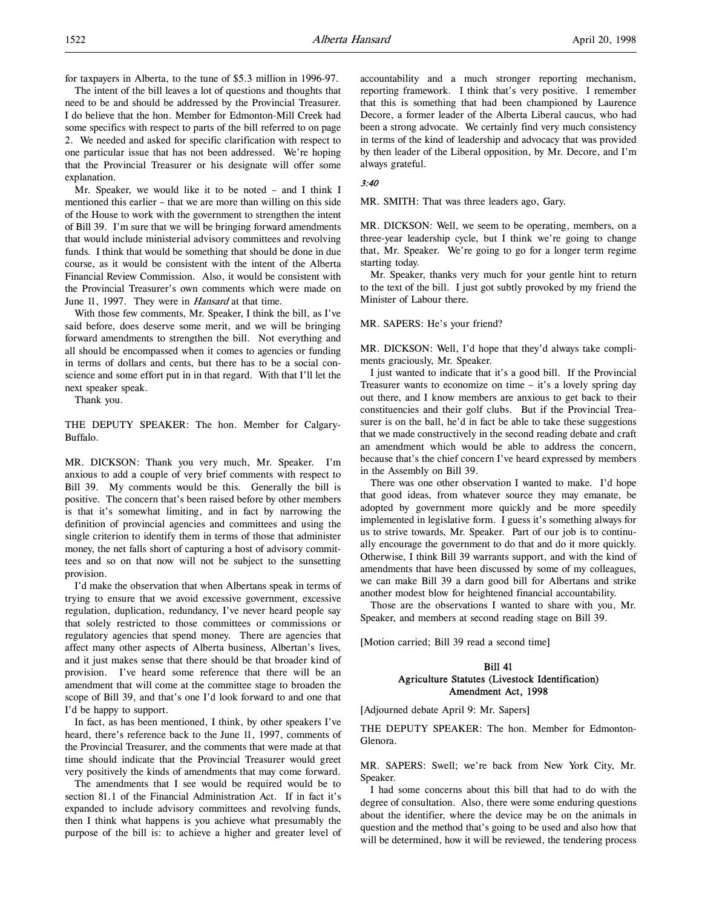for taxpayers in Alberta, to the tune of \$5.3 million in 1996-97.

The intent of the bill leaves a lot of questions and thoughts that need to be and should be addressed by the Provincial Treasurer. I do believe that the hon. Member for Edmonton-Mill Creek had some specifics with respect to parts of the bill referred to on page 2. We needed and asked for specific clarification with respect to one particular issue that has not been addressed. We're hoping that the Provincial Treasurer or his designate will offer some explanation.

Mr. Speaker, we would like it to be noted – and I think I mentioned this earlier – that we are more than willing on this side of the House to work with the government to strengthen the intent of Bill 39. I'm sure that we will be bringing forward amendments that would include ministerial advisory committees and revolving funds. I think that would be something that should be done in due course, as it would be consistent with the intent of the Alberta Financial Review Commission. Also, it would be consistent with the Provincial Treasurer's own comments which were made on June 11, 1997. They were in *Hansard* at that time.

With those few comments, Mr. Speaker, I think the bill, as I've said before, does deserve some merit, and we will be bringing forward amendments to strengthen the bill. Not everything and all should be encompassed when it comes to agencies or funding in terms of dollars and cents, but there has to be a social conscience and some effort put in in that regard. With that I'll let the next speaker speak.

Thank you.

THE DEPUTY SPEAKER: The hon. Member for Calgary-Buffalo.

MR. DICKSON: Thank you very much, Mr. Speaker. I'm anxious to add a couple of very brief comments with respect to Bill 39. My comments would be this. Generally the bill is positive. The concern that's been raised before by other members is that it's somewhat limiting, and in fact by narrowing the definition of provincial agencies and committees and using the single criterion to identify them in terms of those that administer money, the net falls short of capturing a host of advisory committees and so on that now will not be subject to the sunsetting provision.

I'd make the observation that when Albertans speak in terms of trying to ensure that we avoid excessive government, excessive regulation, duplication, redundancy, I've never heard people say that solely restricted to those committees or commissions or regulatory agencies that spend money. There are agencies that affect many other aspects of Alberta business, Albertan's lives, and it just makes sense that there should be that broader kind of provision. I've heard some reference that there will be an amendment that will come at the committee stage to broaden the scope of Bill 39, and that's one I'd look forward to and one that I'd be happy to support.

In fact, as has been mentioned, I think, by other speakers I've heard, there's reference back to the June 11, 1997, comments of the Provincial Treasurer, and the comments that were made at that time should indicate that the Provincial Treasurer would greet very positively the kinds of amendments that may come forward.

The amendments that I see would be required would be to section 81.1 of the Financial Administration Act. If in fact it's expanded to include advisory committees and revolving funds, then I think what happens is you achieve what presumably the purpose of the bill is: to achieve a higher and greater level of accountability and a much stronger reporting mechanism, reporting framework. I think that's very positive. I remember that this is something that had been championed by Laurence Decore, a former leader of the Alberta Liberal caucus, who had been a strong advocate. We certainly find very much consistency in terms of the kind of leadership and advocacy that was provided by then leader of the Liberal opposition, by Mr. Decore, and I'm always grateful.

# 3:40

MR. SMITH: That was three leaders ago, Gary.

MR. DICKSON: Well, we seem to be operating, members, on a three-year leadership cycle, but I think we're going to change that, Mr. Speaker. We're going to go for a longer term regime starting today.

Mr. Speaker, thanks very much for your gentle hint to return to the text of the bill. I just got subtly provoked by my friend the Minister of Labour there.

#### MR. SAPERS: He's your friend?

MR. DICKSON: Well, I'd hope that they'd always take compliments graciously, Mr. Speaker.

I just wanted to indicate that it's a good bill. If the Provincial Treasurer wants to economize on time – it's a lovely spring day out there, and I know members are anxious to get back to their constituencies and their golf clubs. But if the Provincial Treasurer is on the ball, he'd in fact be able to take these suggestions that we made constructively in the second reading debate and craft an amendment which would be able to address the concern, because that's the chief concern I've heard expressed by members in the Assembly on Bill 39.

There was one other observation I wanted to make. I'd hope that good ideas, from whatever source they may emanate, be adopted by government more quickly and be more speedily implemented in legislative form. I guess it's something always for us to strive towards, Mr. Speaker. Part of our job is to continually encourage the government to do that and do it more quickly. Otherwise, I think Bill 39 warrants support, and with the kind of amendments that have been discussed by some of my colleagues, we can make Bill 39 a darn good bill for Albertans and strike another modest blow for heightened financial accountability.

Those are the observations I wanted to share with you, Mr. Speaker, and members at second reading stage on Bill 39.

[Motion carried; Bill 39 read a second time]

# Bill 41 Agriculture Statutes (Livestock Identification) Amendment Act, 1998

[Adjourned debate April 9: Mr. Sapers]

THE DEPUTY SPEAKER: The hon. Member for Edmonton-Glenora.

MR. SAPERS: Swell; we're back from New York City, Mr. Speaker.

I had some concerns about this bill that had to do with the degree of consultation. Also, there were some enduring questions about the identifier, where the device may be on the animals in question and the method that's going to be used and also how that will be determined, how it will be reviewed, the tendering process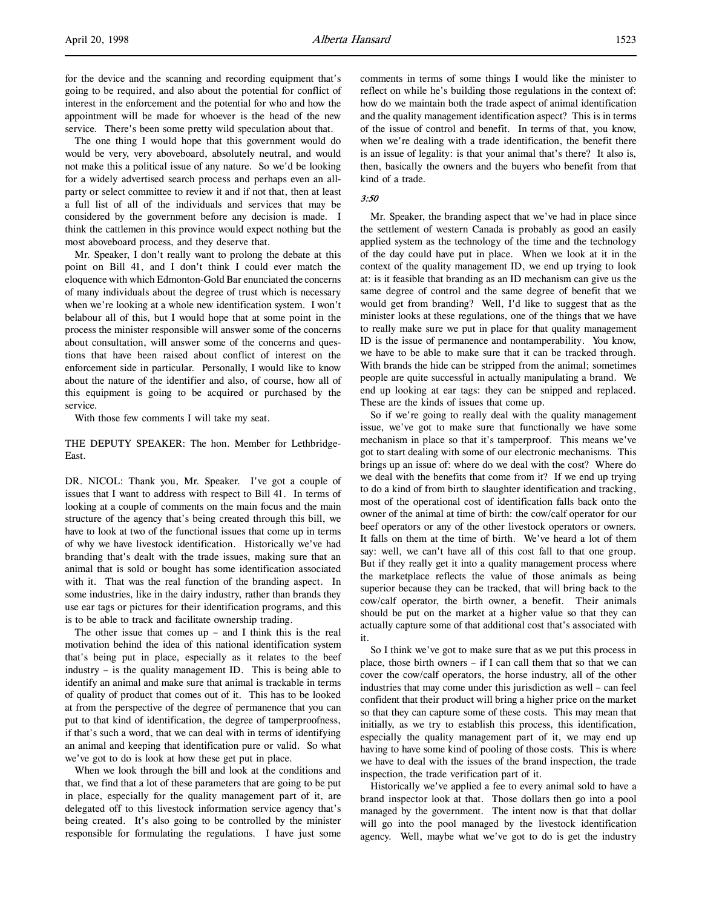The one thing I would hope that this government would do would be very, very aboveboard, absolutely neutral, and would not make this a political issue of any nature. So we'd be looking for a widely advertised search process and perhaps even an allparty or select committee to review it and if not that, then at least a full list of all of the individuals and services that may be considered by the government before any decision is made. I think the cattlemen in this province would expect nothing but the most aboveboard process, and they deserve that.

Mr. Speaker, I don't really want to prolong the debate at this point on Bill 41, and I don't think I could ever match the eloquence with which Edmonton-Gold Bar enunciated the concerns of many individuals about the degree of trust which is necessary when we're looking at a whole new identification system. I won't belabour all of this, but I would hope that at some point in the process the minister responsible will answer some of the concerns about consultation, will answer some of the concerns and questions that have been raised about conflict of interest on the enforcement side in particular. Personally, I would like to know about the nature of the identifier and also, of course, how all of this equipment is going to be acquired or purchased by the service.

With those few comments I will take my seat.

## THE DEPUTY SPEAKER: The hon. Member for Lethbridge-East.

DR. NICOL: Thank you, Mr. Speaker. I've got a couple of issues that I want to address with respect to Bill 41. In terms of looking at a couple of comments on the main focus and the main structure of the agency that's being created through this bill, we have to look at two of the functional issues that come up in terms of why we have livestock identification. Historically we've had branding that's dealt with the trade issues, making sure that an animal that is sold or bought has some identification associated with it. That was the real function of the branding aspect. In some industries, like in the dairy industry, rather than brands they use ear tags or pictures for their identification programs, and this is to be able to track and facilitate ownership trading.

The other issue that comes up – and I think this is the real motivation behind the idea of this national identification system that's being put in place, especially as it relates to the beef industry – is the quality management ID. This is being able to identify an animal and make sure that animal is trackable in terms of quality of product that comes out of it. This has to be looked at from the perspective of the degree of permanence that you can put to that kind of identification, the degree of tamperproofness, if that's such a word, that we can deal with in terms of identifying an animal and keeping that identification pure or valid. So what we've got to do is look at how these get put in place.

When we look through the bill and look at the conditions and that, we find that a lot of these parameters that are going to be put in place, especially for the quality management part of it, are delegated off to this livestock information service agency that's being created. It's also going to be controlled by the minister responsible for formulating the regulations. I have just some

comments in terms of some things I would like the minister to reflect on while he's building those regulations in the context of: how do we maintain both the trade aspect of animal identification and the quality management identification aspect? This is in terms of the issue of control and benefit. In terms of that, you know, when we're dealing with a trade identification, the benefit there is an issue of legality: is that your animal that's there? It also is, then, basically the owners and the buyers who benefit from that kind of a trade.

## 3:50

Mr. Speaker, the branding aspect that we've had in place since the settlement of western Canada is probably as good an easily applied system as the technology of the time and the technology of the day could have put in place. When we look at it in the context of the quality management ID, we end up trying to look at: is it feasible that branding as an ID mechanism can give us the same degree of control and the same degree of benefit that we would get from branding? Well, I'd like to suggest that as the minister looks at these regulations, one of the things that we have to really make sure we put in place for that quality management ID is the issue of permanence and nontamperability. You know, we have to be able to make sure that it can be tracked through. With brands the hide can be stripped from the animal; sometimes people are quite successful in actually manipulating a brand. We end up looking at ear tags: they can be snipped and replaced. These are the kinds of issues that come up.

So if we're going to really deal with the quality management issue, we've got to make sure that functionally we have some mechanism in place so that it's tamperproof. This means we've got to start dealing with some of our electronic mechanisms. This brings up an issue of: where do we deal with the cost? Where do we deal with the benefits that come from it? If we end up trying to do a kind of from birth to slaughter identification and tracking, most of the operational cost of identification falls back onto the owner of the animal at time of birth: the cow/calf operator for our beef operators or any of the other livestock operators or owners. It falls on them at the time of birth. We've heard a lot of them say: well, we can't have all of this cost fall to that one group. But if they really get it into a quality management process where the marketplace reflects the value of those animals as being superior because they can be tracked, that will bring back to the cow/calf operator, the birth owner, a benefit. Their animals should be put on the market at a higher value so that they can actually capture some of that additional cost that's associated with it.

So I think we've got to make sure that as we put this process in place, those birth owners – if I can call them that so that we can cover the cow/calf operators, the horse industry, all of the other industries that may come under this jurisdiction as well – can feel confident that their product will bring a higher price on the market so that they can capture some of these costs. This may mean that initially, as we try to establish this process, this identification, especially the quality management part of it, we may end up having to have some kind of pooling of those costs. This is where we have to deal with the issues of the brand inspection, the trade inspection, the trade verification part of it.

Historically we've applied a fee to every animal sold to have a brand inspector look at that. Those dollars then go into a pool managed by the government. The intent now is that that dollar will go into the pool managed by the livestock identification agency. Well, maybe what we've got to do is get the industry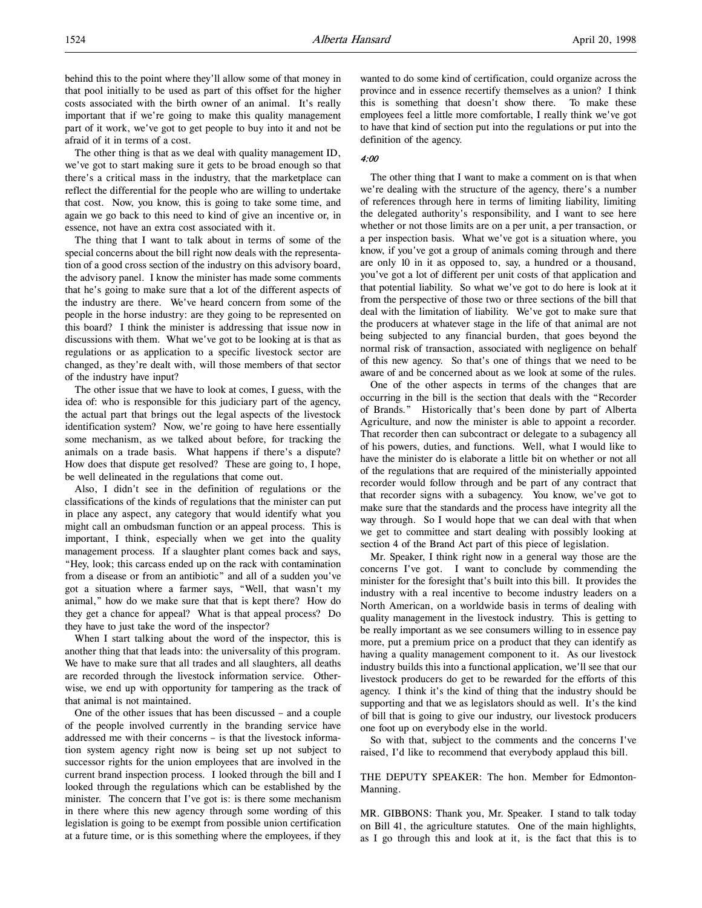behind this to the point where they'll allow some of that money in that pool initially to be used as part of this offset for the higher costs associated with the birth owner of an animal. It's really important that if we're going to make this quality management part of it work, we've got to get people to buy into it and not be afraid of it in terms of a cost.

The other thing is that as we deal with quality management ID, we've got to start making sure it gets to be broad enough so that there's a critical mass in the industry, that the marketplace can reflect the differential for the people who are willing to undertake that cost. Now, you know, this is going to take some time, and again we go back to this need to kind of give an incentive or, in essence, not have an extra cost associated with it.

The thing that I want to talk about in terms of some of the special concerns about the bill right now deals with the representation of a good cross section of the industry on this advisory board, the advisory panel. I know the minister has made some comments that he's going to make sure that a lot of the different aspects of the industry are there. We've heard concern from some of the people in the horse industry: are they going to be represented on this board? I think the minister is addressing that issue now in discussions with them. What we've got to be looking at is that as regulations or as application to a specific livestock sector are changed, as they're dealt with, will those members of that sector of the industry have input?

The other issue that we have to look at comes, I guess, with the idea of: who is responsible for this judiciary part of the agency, the actual part that brings out the legal aspects of the livestock identification system? Now, we're going to have here essentially some mechanism, as we talked about before, for tracking the animals on a trade basis. What happens if there's a dispute? How does that dispute get resolved? These are going to, I hope, be well delineated in the regulations that come out.

Also, I didn't see in the definition of regulations or the classifications of the kinds of regulations that the minister can put in place any aspect, any category that would identify what you might call an ombudsman function or an appeal process. This is important, I think, especially when we get into the quality management process. If a slaughter plant comes back and says, "Hey, look; this carcass ended up on the rack with contamination from a disease or from an antibiotic" and all of a sudden you've got a situation where a farmer says, "Well, that wasn't my animal," how do we make sure that that is kept there? How do they get a chance for appeal? What is that appeal process? Do they have to just take the word of the inspector?

When I start talking about the word of the inspector, this is another thing that that leads into: the universality of this program. We have to make sure that all trades and all slaughters, all deaths are recorded through the livestock information service. Otherwise, we end up with opportunity for tampering as the track of that animal is not maintained.

One of the other issues that has been discussed – and a couple of the people involved currently in the branding service have addressed me with their concerns – is that the livestock information system agency right now is being set up not subject to successor rights for the union employees that are involved in the current brand inspection process. I looked through the bill and I looked through the regulations which can be established by the minister. The concern that I've got is: is there some mechanism in there where this new agency through some wording of this legislation is going to be exempt from possible union certification at a future time, or is this something where the employees, if they

wanted to do some kind of certification, could organize across the province and in essence recertify themselves as a union? I think this is something that doesn't show there. To make these employees feel a little more comfortable, I really think we've got to have that kind of section put into the regulations or put into the definition of the agency.

### 4:00

The other thing that I want to make a comment on is that when we're dealing with the structure of the agency, there's a number of references through here in terms of limiting liability, limiting the delegated authority's responsibility, and I want to see here whether or not those limits are on a per unit, a per transaction, or a per inspection basis. What we've got is a situation where, you know, if you've got a group of animals coming through and there are only 10 in it as opposed to, say, a hundred or a thousand, you've got a lot of different per unit costs of that application and that potential liability. So what we've got to do here is look at it from the perspective of those two or three sections of the bill that deal with the limitation of liability. We've got to make sure that the producers at whatever stage in the life of that animal are not being subjected to any financial burden, that goes beyond the normal risk of transaction, associated with negligence on behalf of this new agency. So that's one of things that we need to be aware of and be concerned about as we look at some of the rules.

One of the other aspects in terms of the changes that are occurring in the bill is the section that deals with the "Recorder of Brands." Historically that's been done by part of Alberta Agriculture, and now the minister is able to appoint a recorder. That recorder then can subcontract or delegate to a subagency all of his powers, duties, and functions. Well, what I would like to have the minister do is elaborate a little bit on whether or not all of the regulations that are required of the ministerially appointed recorder would follow through and be part of any contract that that recorder signs with a subagency. You know, we've got to make sure that the standards and the process have integrity all the way through. So I would hope that we can deal with that when we get to committee and start dealing with possibly looking at section 4 of the Brand Act part of this piece of legislation.

Mr. Speaker, I think right now in a general way those are the concerns I've got. I want to conclude by commending the minister for the foresight that's built into this bill. It provides the industry with a real incentive to become industry leaders on a North American, on a worldwide basis in terms of dealing with quality management in the livestock industry. This is getting to be really important as we see consumers willing to in essence pay more, put a premium price on a product that they can identify as having a quality management component to it. As our livestock industry builds this into a functional application, we'll see that our livestock producers do get to be rewarded for the efforts of this agency. I think it's the kind of thing that the industry should be supporting and that we as legislators should as well. It's the kind of bill that is going to give our industry, our livestock producers one foot up on everybody else in the world.

So with that, subject to the comments and the concerns I've raised, I'd like to recommend that everybody applaud this bill.

THE DEPUTY SPEAKER: The hon. Member for Edmonton-Manning.

MR. GIBBONS: Thank you, Mr. Speaker. I stand to talk today on Bill 41, the agriculture statutes. One of the main highlights, as I go through this and look at it, is the fact that this is to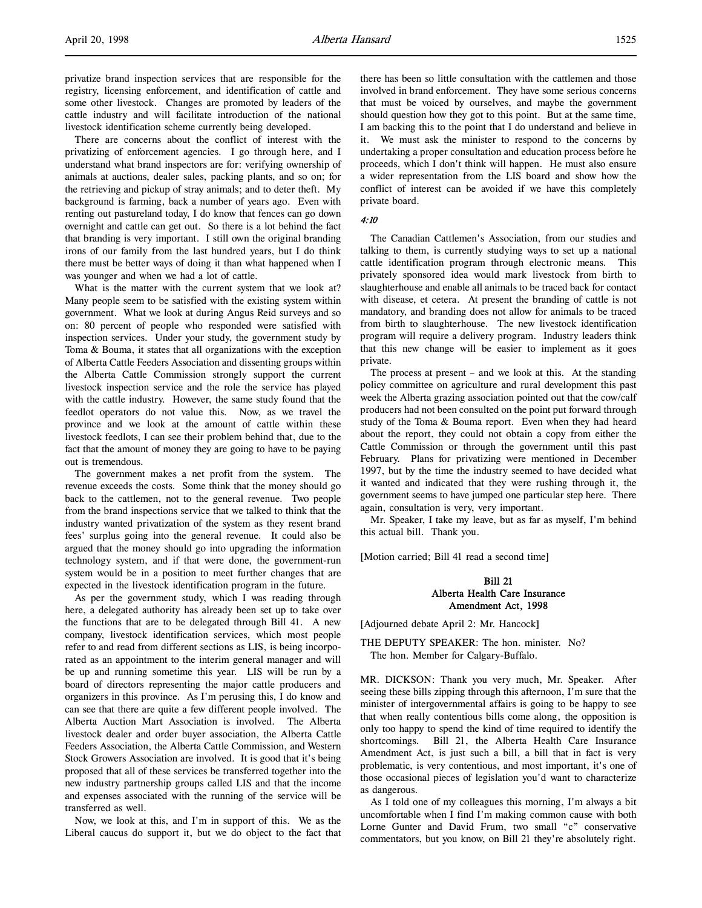There are concerns about the conflict of interest with the privatizing of enforcement agencies. I go through here, and I understand what brand inspectors are for: verifying ownership of animals at auctions, dealer sales, packing plants, and so on; for the retrieving and pickup of stray animals; and to deter theft. My background is farming, back a number of years ago. Even with renting out pastureland today, I do know that fences can go down overnight and cattle can get out. So there is a lot behind the fact that branding is very important. I still own the original branding irons of our family from the last hundred years, but I do think there must be better ways of doing it than what happened when I was younger and when we had a lot of cattle.

What is the matter with the current system that we look at? Many people seem to be satisfied with the existing system within government. What we look at during Angus Reid surveys and so on: 80 percent of people who responded were satisfied with inspection services. Under your study, the government study by Toma & Bouma, it states that all organizations with the exception of Alberta Cattle Feeders Association and dissenting groups within the Alberta Cattle Commission strongly support the current livestock inspection service and the role the service has played with the cattle industry. However, the same study found that the feedlot operators do not value this. Now, as we travel the province and we look at the amount of cattle within these livestock feedlots, I can see their problem behind that, due to the fact that the amount of money they are going to have to be paying out is tremendous.

The government makes a net profit from the system. The revenue exceeds the costs. Some think that the money should go back to the cattlemen, not to the general revenue. Two people from the brand inspections service that we talked to think that the industry wanted privatization of the system as they resent brand fees' surplus going into the general revenue. It could also be argued that the money should go into upgrading the information technology system, and if that were done, the government-run system would be in a position to meet further changes that are expected in the livestock identification program in the future.

As per the government study, which I was reading through here, a delegated authority has already been set up to take over the functions that are to be delegated through Bill 41. A new company, livestock identification services, which most people refer to and read from different sections as LIS, is being incorporated as an appointment to the interim general manager and will be up and running sometime this year. LIS will be run by a board of directors representing the major cattle producers and organizers in this province. As I'm perusing this, I do know and can see that there are quite a few different people involved. The Alberta Auction Mart Association is involved. The Alberta livestock dealer and order buyer association, the Alberta Cattle Feeders Association, the Alberta Cattle Commission, and Western Stock Growers Association are involved. It is good that it's being proposed that all of these services be transferred together into the new industry partnership groups called LIS and that the income and expenses associated with the running of the service will be transferred as well.

Now, we look at this, and I'm in support of this. We as the Liberal caucus do support it, but we do object to the fact that there has been so little consultation with the cattlemen and those involved in brand enforcement. They have some serious concerns that must be voiced by ourselves, and maybe the government should question how they got to this point. But at the same time, I am backing this to the point that I do understand and believe in it. We must ask the minister to respond to the concerns by undertaking a proper consultation and education process before he proceeds, which I don't think will happen. He must also ensure a wider representation from the LIS board and show how the conflict of interest can be avoided if we have this completely private board.

#### 4:10

The Canadian Cattlemen's Association, from our studies and talking to them, is currently studying ways to set up a national cattle identification program through electronic means. This privately sponsored idea would mark livestock from birth to slaughterhouse and enable all animals to be traced back for contact with disease, et cetera. At present the branding of cattle is not mandatory, and branding does not allow for animals to be traced from birth to slaughterhouse. The new livestock identification program will require a delivery program. Industry leaders think that this new change will be easier to implement as it goes private.

The process at present – and we look at this. At the standing policy committee on agriculture and rural development this past week the Alberta grazing association pointed out that the cow/calf producers had not been consulted on the point put forward through study of the Toma & Bouma report. Even when they had heard about the report, they could not obtain a copy from either the Cattle Commission or through the government until this past February. Plans for privatizing were mentioned in December 1997, but by the time the industry seemed to have decided what it wanted and indicated that they were rushing through it, the government seems to have jumped one particular step here. There again, consultation is very, very important.

Mr. Speaker, I take my leave, but as far as myself, I'm behind this actual bill. Thank you.

[Motion carried; Bill 41 read a second time]

# Bill 21 Alberta Health Care Insurance Amendment Act, 1998

[Adjourned debate April 2: Mr. Hancock]

THE DEPUTY SPEAKER: The hon. minister. No? The hon. Member for Calgary-Buffalo.

MR. DICKSON: Thank you very much, Mr. Speaker. After seeing these bills zipping through this afternoon, I'm sure that the minister of intergovernmental affairs is going to be happy to see that when really contentious bills come along, the opposition is only too happy to spend the kind of time required to identify the shortcomings. Bill 21, the Alberta Health Care Insurance Amendment Act, is just such a bill, a bill that in fact is very problematic, is very contentious, and most important, it's one of those occasional pieces of legislation you'd want to characterize as dangerous.

As I told one of my colleagues this morning, I'm always a bit uncomfortable when I find I'm making common cause with both Lorne Gunter and David Frum, two small "c" conservative commentators, but you know, on Bill 21 they're absolutely right.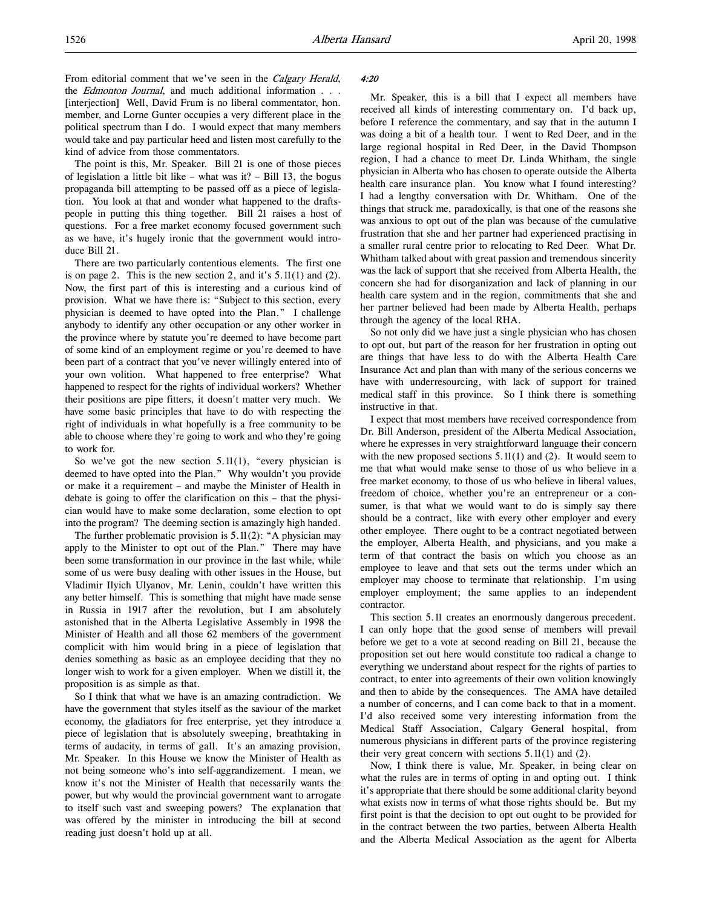From editorial comment that we've seen in the Calgary Herald, the *Edmonton Journal*, and much additional information . . . [interjection] Well, David Frum is no liberal commentator, hon. member, and Lorne Gunter occupies a very different place in the political spectrum than I do. I would expect that many members would take and pay particular heed and listen most carefully to the kind of advice from those commentators.

The point is this, Mr. Speaker. Bill 21 is one of those pieces of legislation a little bit like – what was it? – Bill 13, the bogus propaganda bill attempting to be passed off as a piece of legislation. You look at that and wonder what happened to the draftspeople in putting this thing together. Bill 21 raises a host of questions. For a free market economy focused government such as we have, it's hugely ironic that the government would introduce Bill 21.

There are two particularly contentious elements. The first one is on page 2. This is the new section 2, and it's 5.11(1) and (2). Now, the first part of this is interesting and a curious kind of provision. What we have there is: "Subject to this section, every physician is deemed to have opted into the Plan." I challenge anybody to identify any other occupation or any other worker in the province where by statute you're deemed to have become part of some kind of an employment regime or you're deemed to have been part of a contract that you've never willingly entered into of your own volition. What happened to free enterprise? What happened to respect for the rights of individual workers? Whether their positions are pipe fitters, it doesn't matter very much. We have some basic principles that have to do with respecting the right of individuals in what hopefully is a free community to be able to choose where they're going to work and who they're going to work for.

So we've got the new section  $5.11(1)$ , "every physician is deemed to have opted into the Plan." Why wouldn't you provide or make it a requirement – and maybe the Minister of Health in debate is going to offer the clarification on this – that the physician would have to make some declaration, some election to opt into the program? The deeming section is amazingly high handed.

The further problematic provision is 5.11(2): "A physician may apply to the Minister to opt out of the Plan." There may have been some transformation in our province in the last while, while some of us were busy dealing with other issues in the House, but Vladimir Ilyich Ulyanov, Mr. Lenin, couldn't have written this any better himself. This is something that might have made sense in Russia in 1917 after the revolution, but I am absolutely astonished that in the Alberta Legislative Assembly in 1998 the Minister of Health and all those 62 members of the government complicit with him would bring in a piece of legislation that denies something as basic as an employee deciding that they no longer wish to work for a given employer. When we distill it, the proposition is as simple as that.

So I think that what we have is an amazing contradiction. We have the government that styles itself as the saviour of the market economy, the gladiators for free enterprise, yet they introduce a piece of legislation that is absolutely sweeping, breathtaking in terms of audacity, in terms of gall. It's an amazing provision, Mr. Speaker. In this House we know the Minister of Health as not being someone who's into self-aggrandizement. I mean, we know it's not the Minister of Health that necessarily wants the power, but why would the provincial government want to arrogate to itself such vast and sweeping powers? The explanation that was offered by the minister in introducing the bill at second reading just doesn't hold up at all.

#### 4:20

Mr. Speaker, this is a bill that I expect all members have received all kinds of interesting commentary on. I'd back up, before I reference the commentary, and say that in the autumn I was doing a bit of a health tour. I went to Red Deer, and in the large regional hospital in Red Deer, in the David Thompson region, I had a chance to meet Dr. Linda Whitham, the single physician in Alberta who has chosen to operate outside the Alberta health care insurance plan. You know what I found interesting? I had a lengthy conversation with Dr. Whitham. One of the things that struck me, paradoxically, is that one of the reasons she was anxious to opt out of the plan was because of the cumulative frustration that she and her partner had experienced practising in a smaller rural centre prior to relocating to Red Deer. What Dr. Whitham talked about with great passion and tremendous sincerity was the lack of support that she received from Alberta Health, the concern she had for disorganization and lack of planning in our health care system and in the region, commitments that she and her partner believed had been made by Alberta Health, perhaps through the agency of the local RHA.

So not only did we have just a single physician who has chosen to opt out, but part of the reason for her frustration in opting out are things that have less to do with the Alberta Health Care Insurance Act and plan than with many of the serious concerns we have with underresourcing, with lack of support for trained medical staff in this province. So I think there is something instructive in that.

I expect that most members have received correspondence from Dr. Bill Anderson, president of the Alberta Medical Association, where he expresses in very straightforward language their concern with the new proposed sections  $5.11(1)$  and  $(2)$ . It would seem to me that what would make sense to those of us who believe in a free market economy, to those of us who believe in liberal values, freedom of choice, whether you're an entrepreneur or a consumer, is that what we would want to do is simply say there should be a contract, like with every other employer and every other employee. There ought to be a contract negotiated between the employer, Alberta Health, and physicians, and you make a term of that contract the basis on which you choose as an employee to leave and that sets out the terms under which an employer may choose to terminate that relationship. I'm using employer employment; the same applies to an independent contractor.

This section 5.11 creates an enormously dangerous precedent. I can only hope that the good sense of members will prevail before we get to a vote at second reading on Bill 21, because the proposition set out here would constitute too radical a change to everything we understand about respect for the rights of parties to contract, to enter into agreements of their own volition knowingly and then to abide by the consequences. The AMA have detailed a number of concerns, and I can come back to that in a moment. I'd also received some very interesting information from the Medical Staff Association, Calgary General hospital, from numerous physicians in different parts of the province registering their very great concern with sections  $5.11(1)$  and  $(2)$ .

Now, I think there is value, Mr. Speaker, in being clear on what the rules are in terms of opting in and opting out. I think it's appropriate that there should be some additional clarity beyond what exists now in terms of what those rights should be. But my first point is that the decision to opt out ought to be provided for in the contract between the two parties, between Alberta Health and the Alberta Medical Association as the agent for Alberta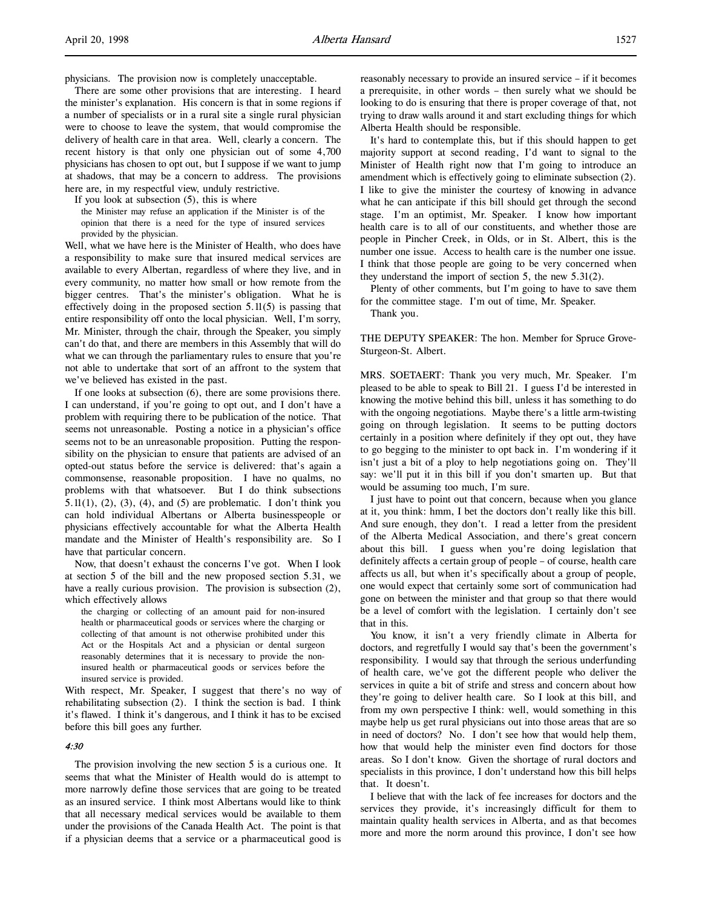physicians. The provision now is completely unacceptable.

There are some other provisions that are interesting. I heard the minister's explanation. His concern is that in some regions if a number of specialists or in a rural site a single rural physician were to choose to leave the system, that would compromise the delivery of health care in that area. Well, clearly a concern. The recent history is that only one physician out of some 4,700 physicians has chosen to opt out, but I suppose if we want to jump at shadows, that may be a concern to address. The provisions here are, in my respectful view, unduly restrictive.

If you look at subsection (5), this is where

the Minister may refuse an application if the Minister is of the opinion that there is a need for the type of insured services provided by the physician.

Well, what we have here is the Minister of Health, who does have a responsibility to make sure that insured medical services are available to every Albertan, regardless of where they live, and in every community, no matter how small or how remote from the bigger centres. That's the minister's obligation. What he is effectively doing in the proposed section 5.11(5) is passing that entire responsibility off onto the local physician. Well, I'm sorry, Mr. Minister, through the chair, through the Speaker, you simply can't do that, and there are members in this Assembly that will do what we can through the parliamentary rules to ensure that you're not able to undertake that sort of an affront to the system that we've believed has existed in the past.

If one looks at subsection (6), there are some provisions there. I can understand, if you're going to opt out, and I don't have a problem with requiring there to be publication of the notice. That seems not unreasonable. Posting a notice in a physician's office seems not to be an unreasonable proposition. Putting the responsibility on the physician to ensure that patients are advised of an opted-out status before the service is delivered: that's again a commonsense, reasonable proposition. I have no qualms, no problems with that whatsoever. But I do think subsections  $5.11(1)$ ,  $(2)$ ,  $(3)$ ,  $(4)$ , and  $(5)$  are problematic. I don't think you can hold individual Albertans or Alberta businesspeople or physicians effectively accountable for what the Alberta Health mandate and the Minister of Health's responsibility are. So I have that particular concern.

Now, that doesn't exhaust the concerns I've got. When I look at section 5 of the bill and the new proposed section 5.31, we have a really curious provision. The provision is subsection (2), which effectively allows

the charging or collecting of an amount paid for non-insured health or pharmaceutical goods or services where the charging or collecting of that amount is not otherwise prohibited under this Act or the Hospitals Act and a physician or dental surgeon reasonably determines that it is necessary to provide the noninsured health or pharmaceutical goods or services before the insured service is provided.

With respect, Mr. Speaker, I suggest that there's no way of rehabilitating subsection (2). I think the section is bad. I think it's flawed. I think it's dangerous, and I think it has to be excised before this bill goes any further.

# 4:30

The provision involving the new section 5 is a curious one. It seems that what the Minister of Health would do is attempt to more narrowly define those services that are going to be treated as an insured service. I think most Albertans would like to think that all necessary medical services would be available to them under the provisions of the Canada Health Act. The point is that if a physician deems that a service or a pharmaceutical good is

reasonably necessary to provide an insured service – if it becomes a prerequisite, in other words – then surely what we should be looking to do is ensuring that there is proper coverage of that, not trying to draw walls around it and start excluding things for which Alberta Health should be responsible.

It's hard to contemplate this, but if this should happen to get majority support at second reading, I'd want to signal to the Minister of Health right now that I'm going to introduce an amendment which is effectively going to eliminate subsection (2). I like to give the minister the courtesy of knowing in advance what he can anticipate if this bill should get through the second stage. I'm an optimist, Mr. Speaker. I know how important health care is to all of our constituents, and whether those are people in Pincher Creek, in Olds, or in St. Albert, this is the number one issue. Access to health care is the number one issue. I think that those people are going to be very concerned when they understand the import of section 5, the new 5.31(2).

Plenty of other comments, but I'm going to have to save them for the committee stage. I'm out of time, Mr. Speaker.

Thank you.

THE DEPUTY SPEAKER: The hon. Member for Spruce Grove-Sturgeon-St. Albert.

MRS. SOETAERT: Thank you very much, Mr. Speaker. I'm pleased to be able to speak to Bill 21. I guess I'd be interested in knowing the motive behind this bill, unless it has something to do with the ongoing negotiations. Maybe there's a little arm-twisting going on through legislation. It seems to be putting doctors certainly in a position where definitely if they opt out, they have to go begging to the minister to opt back in. I'm wondering if it isn't just a bit of a ploy to help negotiations going on. They'll say: we'll put it in this bill if you don't smarten up. But that would be assuming too much, I'm sure.

I just have to point out that concern, because when you glance at it, you think: hmm, I bet the doctors don't really like this bill. And sure enough, they don't. I read a letter from the president of the Alberta Medical Association, and there's great concern about this bill. I guess when you're doing legislation that definitely affects a certain group of people – of course, health care affects us all, but when it's specifically about a group of people, one would expect that certainly some sort of communication had gone on between the minister and that group so that there would be a level of comfort with the legislation. I certainly don't see that in this.

You know, it isn't a very friendly climate in Alberta for doctors, and regretfully I would say that's been the government's responsibility. I would say that through the serious underfunding of health care, we've got the different people who deliver the services in quite a bit of strife and stress and concern about how they're going to deliver health care. So I look at this bill, and from my own perspective I think: well, would something in this maybe help us get rural physicians out into those areas that are so in need of doctors? No. I don't see how that would help them, how that would help the minister even find doctors for those areas. So I don't know. Given the shortage of rural doctors and specialists in this province, I don't understand how this bill helps that. It doesn't.

I believe that with the lack of fee increases for doctors and the services they provide, it's increasingly difficult for them to maintain quality health services in Alberta, and as that becomes more and more the norm around this province, I don't see how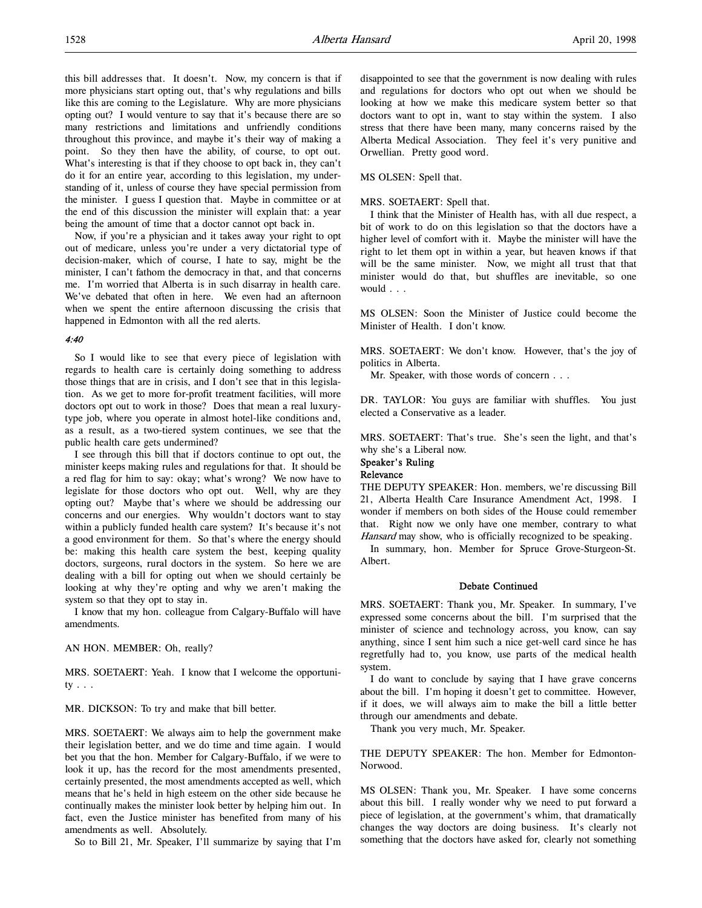this bill addresses that. It doesn't. Now, my concern is that if more physicians start opting out, that's why regulations and bills like this are coming to the Legislature. Why are more physicians opting out? I would venture to say that it's because there are so many restrictions and limitations and unfriendly conditions throughout this province, and maybe it's their way of making a point. So they then have the ability, of course, to opt out. What's interesting is that if they choose to opt back in, they can't do it for an entire year, according to this legislation, my understanding of it, unless of course they have special permission from the minister. I guess I question that. Maybe in committee or at the end of this discussion the minister will explain that: a year being the amount of time that a doctor cannot opt back in.

Now, if you're a physician and it takes away your right to opt out of medicare, unless you're under a very dictatorial type of decision-maker, which of course, I hate to say, might be the minister, I can't fathom the democracy in that, and that concerns me. I'm worried that Alberta is in such disarray in health care. We've debated that often in here. We even had an afternoon when we spent the entire afternoon discussing the crisis that happened in Edmonton with all the red alerts.

## 4:40

So I would like to see that every piece of legislation with regards to health care is certainly doing something to address those things that are in crisis, and I don't see that in this legislation. As we get to more for-profit treatment facilities, will more doctors opt out to work in those? Does that mean a real luxurytype job, where you operate in almost hotel-like conditions and, as a result, as a two-tiered system continues, we see that the public health care gets undermined?

I see through this bill that if doctors continue to opt out, the minister keeps making rules and regulations for that. It should be a red flag for him to say: okay; what's wrong? We now have to legislate for those doctors who opt out. Well, why are they opting out? Maybe that's where we should be addressing our concerns and our energies. Why wouldn't doctors want to stay within a publicly funded health care system? It's because it's not a good environment for them. So that's where the energy should be: making this health care system the best, keeping quality doctors, surgeons, rural doctors in the system. So here we are dealing with a bill for opting out when we should certainly be looking at why they're opting and why we aren't making the system so that they opt to stay in.

I know that my hon. colleague from Calgary-Buffalo will have amendments.

AN HON. MEMBER: Oh, really?

MRS. SOETAERT: Yeah. I know that I welcome the opportunity . . .

MR. DICKSON: To try and make that bill better.

MRS. SOETAERT: We always aim to help the government make their legislation better, and we do time and time again. I would bet you that the hon. Member for Calgary-Buffalo, if we were to look it up, has the record for the most amendments presented, certainly presented, the most amendments accepted as well, which means that he's held in high esteem on the other side because he continually makes the minister look better by helping him out. In fact, even the Justice minister has benefited from many of his amendments as well. Absolutely.

So to Bill 21, Mr. Speaker, I'll summarize by saying that I'm

disappointed to see that the government is now dealing with rules and regulations for doctors who opt out when we should be looking at how we make this medicare system better so that doctors want to opt in, want to stay within the system. I also stress that there have been many, many concerns raised by the Alberta Medical Association. They feel it's very punitive and Orwellian. Pretty good word.

MS OLSEN: Spell that.

#### MRS. SOETAERT: Spell that.

I think that the Minister of Health has, with all due respect, a bit of work to do on this legislation so that the doctors have a higher level of comfort with it. Maybe the minister will have the right to let them opt in within a year, but heaven knows if that will be the same minister. Now, we might all trust that that minister would do that, but shuffles are inevitable, so one would . . .

MS OLSEN: Soon the Minister of Justice could become the Minister of Health. I don't know.

MRS. SOETAERT: We don't know. However, that's the joy of politics in Alberta.

Mr. Speaker, with those words of concern . . .

DR. TAYLOR: You guys are familiar with shuffles. You just elected a Conservative as a leader.

MRS. SOETAERT: That's true. She's seen the light, and that's why she's a Liberal now.

# Speaker's Ruling

# Relevance

THE DEPUTY SPEAKER: Hon. members, we're discussing Bill 21, Alberta Health Care Insurance Amendment Act, 1998. I wonder if members on both sides of the House could remember that. Right now we only have one member, contrary to what Hansard may show, who is officially recognized to be speaking.

In summary, hon. Member for Spruce Grove-Sturgeon-St. Albert.

### Debate Continued

MRS. SOETAERT: Thank you, Mr. Speaker. In summary, I've expressed some concerns about the bill. I'm surprised that the minister of science and technology across, you know, can say anything, since I sent him such a nice get-well card since he has regretfully had to, you know, use parts of the medical health system.

I do want to conclude by saying that I have grave concerns about the bill. I'm hoping it doesn't get to committee. However, if it does, we will always aim to make the bill a little better through our amendments and debate.

Thank you very much, Mr. Speaker.

THE DEPUTY SPEAKER: The hon. Member for Edmonton-Norwood.

MS OLSEN: Thank you, Mr. Speaker. I have some concerns about this bill. I really wonder why we need to put forward a piece of legislation, at the government's whim, that dramatically changes the way doctors are doing business. It's clearly not something that the doctors have asked for, clearly not something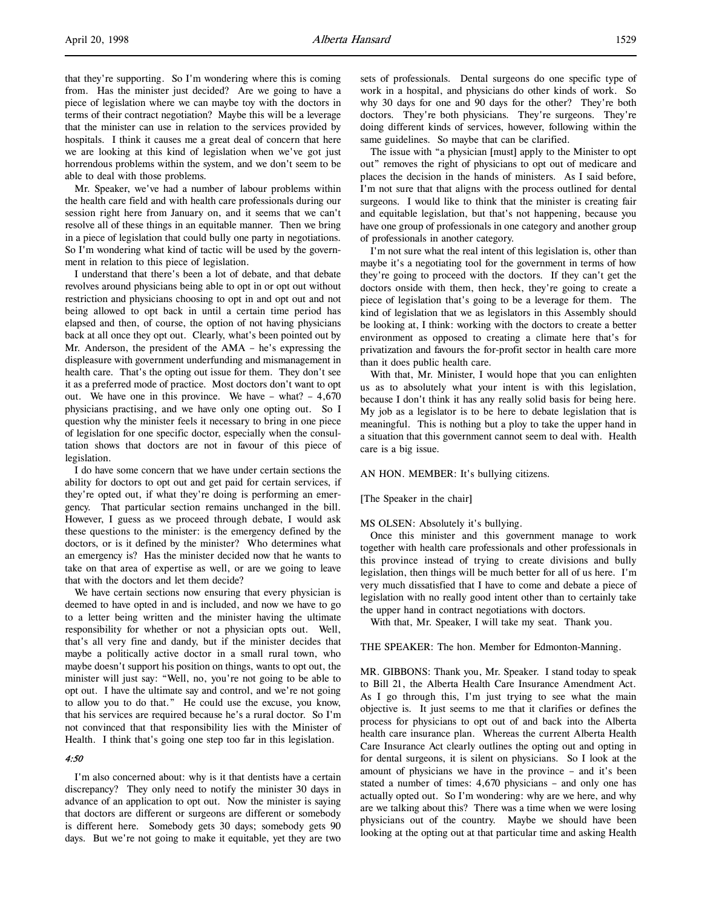that they're supporting. So I'm wondering where this is coming from. Has the minister just decided? Are we going to have a piece of legislation where we can maybe toy with the doctors in terms of their contract negotiation? Maybe this will be a leverage that the minister can use in relation to the services provided by hospitals. I think it causes me a great deal of concern that here we are looking at this kind of legislation when we've got just horrendous problems within the system, and we don't seem to be able to deal with those problems.

Mr. Speaker, we've had a number of labour problems within the health care field and with health care professionals during our session right here from January on, and it seems that we can't resolve all of these things in an equitable manner. Then we bring in a piece of legislation that could bully one party in negotiations. So I'm wondering what kind of tactic will be used by the government in relation to this piece of legislation.

I understand that there's been a lot of debate, and that debate revolves around physicians being able to opt in or opt out without restriction and physicians choosing to opt in and opt out and not being allowed to opt back in until a certain time period has elapsed and then, of course, the option of not having physicians back at all once they opt out. Clearly, what's been pointed out by Mr. Anderson, the president of the AMA – he's expressing the displeasure with government underfunding and mismanagement in health care. That's the opting out issue for them. They don't see it as a preferred mode of practice. Most doctors don't want to opt out. We have one in this province. We have  $-$  what?  $-4,670$ physicians practising, and we have only one opting out. So I question why the minister feels it necessary to bring in one piece of legislation for one specific doctor, especially when the consultation shows that doctors are not in favour of this piece of legislation.

I do have some concern that we have under certain sections the ability for doctors to opt out and get paid for certain services, if they're opted out, if what they're doing is performing an emergency. That particular section remains unchanged in the bill. However, I guess as we proceed through debate, I would ask these questions to the minister: is the emergency defined by the doctors, or is it defined by the minister? Who determines what an emergency is? Has the minister decided now that he wants to take on that area of expertise as well, or are we going to leave that with the doctors and let them decide?

We have certain sections now ensuring that every physician is deemed to have opted in and is included, and now we have to go to a letter being written and the minister having the ultimate responsibility for whether or not a physician opts out. Well, that's all very fine and dandy, but if the minister decides that maybe a politically active doctor in a small rural town, who maybe doesn't support his position on things, wants to opt out, the minister will just say: "Well, no, you're not going to be able to opt out. I have the ultimate say and control, and we're not going to allow you to do that." He could use the excuse, you know, that his services are required because he's a rural doctor. So I'm not convinced that that responsibility lies with the Minister of Health. I think that's going one step too far in this legislation.

# 4:50

I'm also concerned about: why is it that dentists have a certain discrepancy? They only need to notify the minister 30 days in advance of an application to opt out. Now the minister is saying that doctors are different or surgeons are different or somebody is different here. Somebody gets 30 days; somebody gets 90 days. But we're not going to make it equitable, yet they are two

sets of professionals. Dental surgeons do one specific type of work in a hospital, and physicians do other kinds of work. So why 30 days for one and 90 days for the other? They're both doctors. They're both physicians. They're surgeons. They're doing different kinds of services, however, following within the same guidelines. So maybe that can be clarified.

The issue with "a physician [must] apply to the Minister to opt out" removes the right of physicians to opt out of medicare and places the decision in the hands of ministers. As I said before, I'm not sure that that aligns with the process outlined for dental surgeons. I would like to think that the minister is creating fair and equitable legislation, but that's not happening, because you have one group of professionals in one category and another group of professionals in another category.

I'm not sure what the real intent of this legislation is, other than maybe it's a negotiating tool for the government in terms of how they're going to proceed with the doctors. If they can't get the doctors onside with them, then heck, they're going to create a piece of legislation that's going to be a leverage for them. The kind of legislation that we as legislators in this Assembly should be looking at, I think: working with the doctors to create a better environment as opposed to creating a climate here that's for privatization and favours the for-profit sector in health care more than it does public health care.

With that, Mr. Minister, I would hope that you can enlighten us as to absolutely what your intent is with this legislation, because I don't think it has any really solid basis for being here. My job as a legislator is to be here to debate legislation that is meaningful. This is nothing but a ploy to take the upper hand in a situation that this government cannot seem to deal with. Health care is a big issue.

AN HON. MEMBER: It's bullying citizens.

#### [The Speaker in the chair]

#### MS OLSEN: Absolutely it's bullying.

Once this minister and this government manage to work together with health care professionals and other professionals in this province instead of trying to create divisions and bully legislation, then things will be much better for all of us here. I'm very much dissatisfied that I have to come and debate a piece of legislation with no really good intent other than to certainly take the upper hand in contract negotiations with doctors.

With that, Mr. Speaker, I will take my seat. Thank you.

THE SPEAKER: The hon. Member for Edmonton-Manning.

MR. GIBBONS: Thank you, Mr. Speaker. I stand today to speak to Bill 21, the Alberta Health Care Insurance Amendment Act. As I go through this, I'm just trying to see what the main objective is. It just seems to me that it clarifies or defines the process for physicians to opt out of and back into the Alberta health care insurance plan. Whereas the current Alberta Health Care Insurance Act clearly outlines the opting out and opting in for dental surgeons, it is silent on physicians. So I look at the amount of physicians we have in the province – and it's been stated a number of times: 4,670 physicians – and only one has actually opted out. So I'm wondering: why are we here, and why are we talking about this? There was a time when we were losing physicians out of the country. Maybe we should have been looking at the opting out at that particular time and asking Health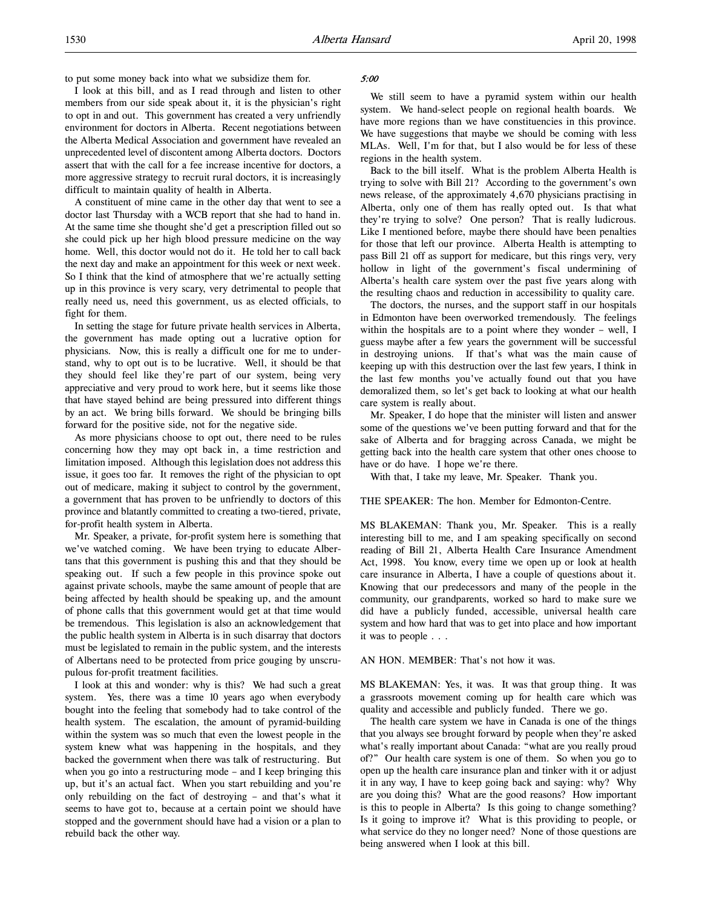to put some money back into what we subsidize them for.

I look at this bill, and as I read through and listen to other members from our side speak about it, it is the physician's right to opt in and out. This government has created a very unfriendly environment for doctors in Alberta. Recent negotiations between the Alberta Medical Association and government have revealed an unprecedented level of discontent among Alberta doctors. Doctors assert that with the call for a fee increase incentive for doctors, a more aggressive strategy to recruit rural doctors, it is increasingly difficult to maintain quality of health in Alberta.

A constituent of mine came in the other day that went to see a doctor last Thursday with a WCB report that she had to hand in. At the same time she thought she'd get a prescription filled out so she could pick up her high blood pressure medicine on the way home. Well, this doctor would not do it. He told her to call back the next day and make an appointment for this week or next week. So I think that the kind of atmosphere that we're actually setting up in this province is very scary, very detrimental to people that really need us, need this government, us as elected officials, to fight for them.

In setting the stage for future private health services in Alberta, the government has made opting out a lucrative option for physicians. Now, this is really a difficult one for me to understand, why to opt out is to be lucrative. Well, it should be that they should feel like they're part of our system, being very appreciative and very proud to work here, but it seems like those that have stayed behind are being pressured into different things by an act. We bring bills forward. We should be bringing bills forward for the positive side, not for the negative side.

As more physicians choose to opt out, there need to be rules concerning how they may opt back in, a time restriction and limitation imposed. Although this legislation does not address this issue, it goes too far. It removes the right of the physician to opt out of medicare, making it subject to control by the government, a government that has proven to be unfriendly to doctors of this province and blatantly committed to creating a two-tiered, private, for-profit health system in Alberta.

Mr. Speaker, a private, for-profit system here is something that we've watched coming. We have been trying to educate Albertans that this government is pushing this and that they should be speaking out. If such a few people in this province spoke out against private schools, maybe the same amount of people that are being affected by health should be speaking up, and the amount of phone calls that this government would get at that time would be tremendous. This legislation is also an acknowledgement that the public health system in Alberta is in such disarray that doctors must be legislated to remain in the public system, and the interests of Albertans need to be protected from price gouging by unscrupulous for-profit treatment facilities.

I look at this and wonder: why is this? We had such a great system. Yes, there was a time 10 years ago when everybody bought into the feeling that somebody had to take control of the health system. The escalation, the amount of pyramid-building within the system was so much that even the lowest people in the system knew what was happening in the hospitals, and they backed the government when there was talk of restructuring. But when you go into a restructuring mode – and I keep bringing this up, but it's an actual fact. When you start rebuilding and you're only rebuilding on the fact of destroying – and that's what it seems to have got to, because at a certain point we should have stopped and the government should have had a vision or a plan to rebuild back the other way.

# 5:00

We still seem to have a pyramid system within our health system. We hand-select people on regional health boards. We have more regions than we have constituencies in this province. We have suggestions that maybe we should be coming with less MLAs. Well, I'm for that, but I also would be for less of these regions in the health system.

Back to the bill itself. What is the problem Alberta Health is trying to solve with Bill 21? According to the government's own news release, of the approximately 4,670 physicians practising in Alberta, only one of them has really opted out. Is that what they're trying to solve? One person? That is really ludicrous. Like I mentioned before, maybe there should have been penalties for those that left our province. Alberta Health is attempting to pass Bill 21 off as support for medicare, but this rings very, very hollow in light of the government's fiscal undermining of Alberta's health care system over the past five years along with the resulting chaos and reduction in accessibility to quality care.

The doctors, the nurses, and the support staff in our hospitals in Edmonton have been overworked tremendously. The feelings within the hospitals are to a point where they wonder – well, I guess maybe after a few years the government will be successful in destroying unions. If that's what was the main cause of keeping up with this destruction over the last few years, I think in the last few months you've actually found out that you have demoralized them, so let's get back to looking at what our health care system is really about.

Mr. Speaker, I do hope that the minister will listen and answer some of the questions we've been putting forward and that for the sake of Alberta and for bragging across Canada, we might be getting back into the health care system that other ones choose to have or do have. I hope we're there.

With that, I take my leave, Mr. Speaker. Thank you.

THE SPEAKER: The hon. Member for Edmonton-Centre.

MS BLAKEMAN: Thank you, Mr. Speaker. This is a really interesting bill to me, and I am speaking specifically on second reading of Bill 21, Alberta Health Care Insurance Amendment Act, 1998. You know, every time we open up or look at health care insurance in Alberta, I have a couple of questions about it. Knowing that our predecessors and many of the people in the community, our grandparents, worked so hard to make sure we did have a publicly funded, accessible, universal health care system and how hard that was to get into place and how important it was to people . . .

AN HON. MEMBER: That's not how it was.

MS BLAKEMAN: Yes, it was. It was that group thing. It was a grassroots movement coming up for health care which was quality and accessible and publicly funded. There we go.

The health care system we have in Canada is one of the things that you always see brought forward by people when they're asked what's really important about Canada: "what are you really proud of?" Our health care system is one of them. So when you go to open up the health care insurance plan and tinker with it or adjust it in any way, I have to keep going back and saying: why? Why are you doing this? What are the good reasons? How important is this to people in Alberta? Is this going to change something? Is it going to improve it? What is this providing to people, or what service do they no longer need? None of those questions are being answered when I look at this bill.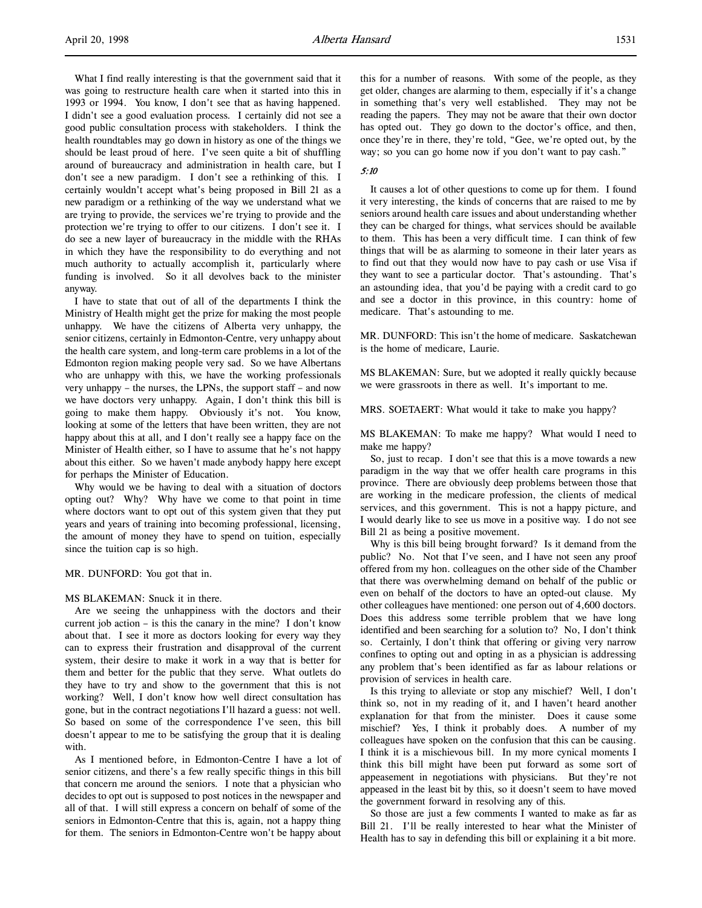What I find really interesting is that the government said that it was going to restructure health care when it started into this in 1993 or 1994. You know, I don't see that as having happened. I didn't see a good evaluation process. I certainly did not see a good public consultation process with stakeholders. I think the health roundtables may go down in history as one of the things we should be least proud of here. I've seen quite a bit of shuffling around of bureaucracy and administration in health care, but I don't see a new paradigm. I don't see a rethinking of this. I certainly wouldn't accept what's being proposed in Bill 21 as a new paradigm or a rethinking of the way we understand what we are trying to provide, the services we're trying to provide and the protection we're trying to offer to our citizens. I don't see it. I do see a new layer of bureaucracy in the middle with the RHAs in which they have the responsibility to do everything and not much authority to actually accomplish it, particularly where funding is involved. So it all devolves back to the minister anyway.

I have to state that out of all of the departments I think the Ministry of Health might get the prize for making the most people unhappy. We have the citizens of Alberta very unhappy, the senior citizens, certainly in Edmonton-Centre, very unhappy about the health care system, and long-term care problems in a lot of the Edmonton region making people very sad. So we have Albertans who are unhappy with this, we have the working professionals very unhappy – the nurses, the LPNs, the support staff – and now we have doctors very unhappy. Again, I don't think this bill is going to make them happy. Obviously it's not. You know, looking at some of the letters that have been written, they are not happy about this at all, and I don't really see a happy face on the Minister of Health either, so I have to assume that he's not happy about this either. So we haven't made anybody happy here except for perhaps the Minister of Education.

Why would we be having to deal with a situation of doctors opting out? Why? Why have we come to that point in time where doctors want to opt out of this system given that they put years and years of training into becoming professional, licensing, the amount of money they have to spend on tuition, especially since the tuition cap is so high.

MR. DUNFORD: You got that in.

### MS BLAKEMAN: Snuck it in there.

Are we seeing the unhappiness with the doctors and their current job action – is this the canary in the mine? I don't know about that. I see it more as doctors looking for every way they can to express their frustration and disapproval of the current system, their desire to make it work in a way that is better for them and better for the public that they serve. What outlets do they have to try and show to the government that this is not working? Well, I don't know how well direct consultation has gone, but in the contract negotiations I'll hazard a guess: not well. So based on some of the correspondence I've seen, this bill doesn't appear to me to be satisfying the group that it is dealing with.

As I mentioned before, in Edmonton-Centre I have a lot of senior citizens, and there's a few really specific things in this bill that concern me around the seniors. I note that a physician who decides to opt out is supposed to post notices in the newspaper and all of that. I will still express a concern on behalf of some of the seniors in Edmonton-Centre that this is, again, not a happy thing for them. The seniors in Edmonton-Centre won't be happy about this for a number of reasons. With some of the people, as they get older, changes are alarming to them, especially if it's a change in something that's very well established. They may not be reading the papers. They may not be aware that their own doctor has opted out. They go down to the doctor's office, and then, once they're in there, they're told, "Gee, we're opted out, by the way; so you can go home now if you don't want to pay cash."

# 5:10

It causes a lot of other questions to come up for them. I found it very interesting, the kinds of concerns that are raised to me by seniors around health care issues and about understanding whether they can be charged for things, what services should be available to them. This has been a very difficult time. I can think of few things that will be as alarming to someone in their later years as to find out that they would now have to pay cash or use Visa if they want to see a particular doctor. That's astounding. That's an astounding idea, that you'd be paying with a credit card to go and see a doctor in this province, in this country: home of medicare. That's astounding to me.

MR. DUNFORD: This isn't the home of medicare. Saskatchewan is the home of medicare, Laurie.

MS BLAKEMAN: Sure, but we adopted it really quickly because we were grassroots in there as well. It's important to me.

MRS. SOETAERT: What would it take to make you happy?

MS BLAKEMAN: To make me happy? What would I need to make me happy?

So, just to recap. I don't see that this is a move towards a new paradigm in the way that we offer health care programs in this province. There are obviously deep problems between those that are working in the medicare profession, the clients of medical services, and this government. This is not a happy picture, and I would dearly like to see us move in a positive way. I do not see Bill 21 as being a positive movement.

Why is this bill being brought forward? Is it demand from the public? No. Not that I've seen, and I have not seen any proof offered from my hon. colleagues on the other side of the Chamber that there was overwhelming demand on behalf of the public or even on behalf of the doctors to have an opted-out clause. My other colleagues have mentioned: one person out of 4,600 doctors. Does this address some terrible problem that we have long identified and been searching for a solution to? No, I don't think so. Certainly, I don't think that offering or giving very narrow confines to opting out and opting in as a physician is addressing any problem that's been identified as far as labour relations or provision of services in health care.

Is this trying to alleviate or stop any mischief? Well, I don't think so, not in my reading of it, and I haven't heard another explanation for that from the minister. Does it cause some mischief? Yes, I think it probably does. A number of my colleagues have spoken on the confusion that this can be causing. I think it is a mischievous bill. In my more cynical moments I think this bill might have been put forward as some sort of appeasement in negotiations with physicians. But they're not appeased in the least bit by this, so it doesn't seem to have moved the government forward in resolving any of this.

So those are just a few comments I wanted to make as far as Bill 21. I'll be really interested to hear what the Minister of Health has to say in defending this bill or explaining it a bit more.